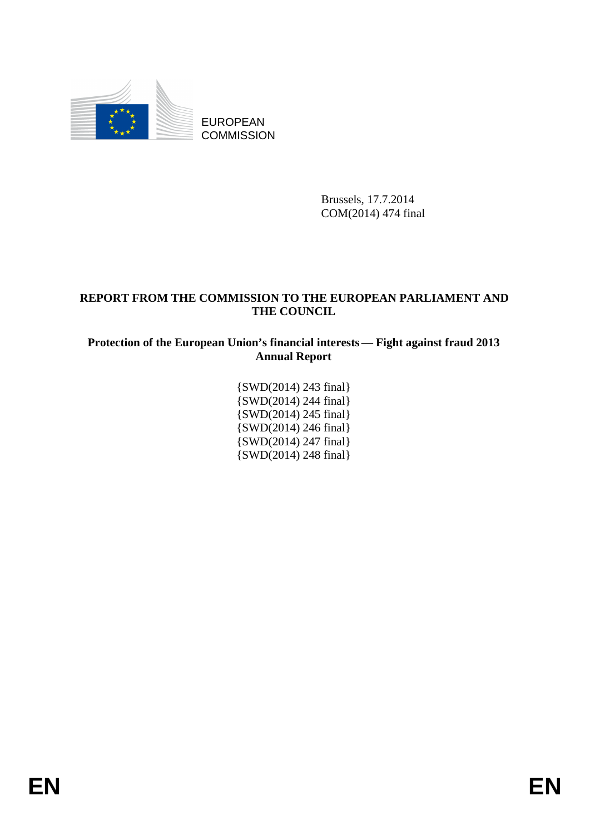

EUROPEAN **COMMISSION** 

> Brussels, 17.7.2014 COM(2014) 474 final

# **REPORT FROM THE COMMISSION TO THE EUROPEAN PARLIAMENT AND THE COUNCIL**

**Protection of the European Union's financial interests — Fight against fraud 2013 Annual Report**

> {SWD(2014) 243 final} {SWD(2014) 244 final} {SWD(2014) 245 final} {SWD(2014) 246 final} {SWD(2014) 247 final} {SWD(2014) 248 final}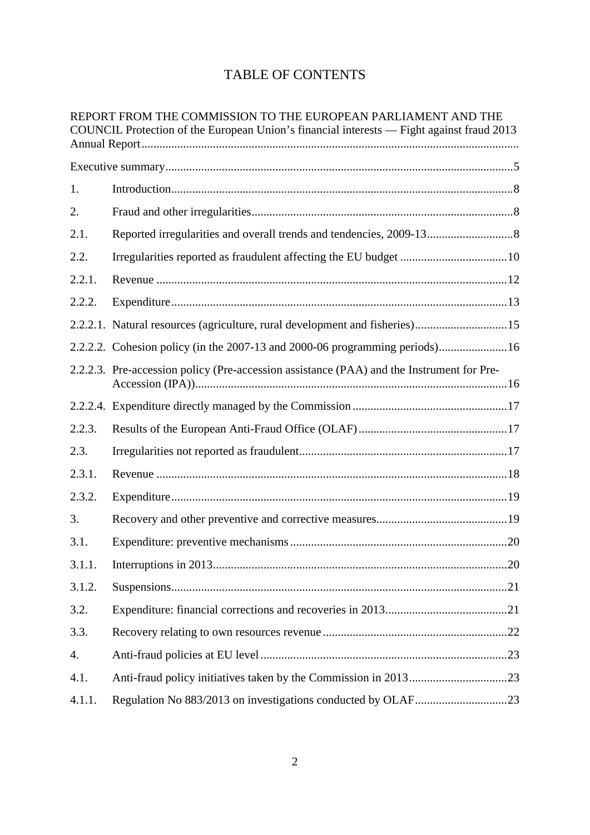# TABLE OF CONTENTS

|        | REPORT FROM THE COMMISSION TO THE EUROPEAN PARLIAMENT AND THE<br>COUNCIL Protection of the European Union's financial interests — Fight against fraud 2013 |
|--------|------------------------------------------------------------------------------------------------------------------------------------------------------------|
|        |                                                                                                                                                            |
| 1.     |                                                                                                                                                            |
| 2.     |                                                                                                                                                            |
| 2.1.   |                                                                                                                                                            |
| 2.2.   |                                                                                                                                                            |
| 2.2.1. |                                                                                                                                                            |
| 2.2.2. |                                                                                                                                                            |
|        | 2.2.2.1. Natural resources (agriculture, rural development and fisheries)15                                                                                |
|        | 2.2.2.2. Cohesion policy (in the 2007-13 and 2000-06 programming periods)16                                                                                |
|        | 2.2.2.3. Pre-accession policy (Pre-accession assistance (PAA) and the Instrument for Pre-                                                                  |
|        |                                                                                                                                                            |
| 2.2.3. |                                                                                                                                                            |
| 2.3.   |                                                                                                                                                            |
| 2.3.1. |                                                                                                                                                            |
| 2.3.2. |                                                                                                                                                            |
| 3.     |                                                                                                                                                            |
| 3.1.   |                                                                                                                                                            |
| 3.1.1. |                                                                                                                                                            |
| 3.1.2. |                                                                                                                                                            |
| 3.2.   |                                                                                                                                                            |
| 3.3.   |                                                                                                                                                            |
| 4.     |                                                                                                                                                            |
| 4.1.   |                                                                                                                                                            |
| 4.1.1. |                                                                                                                                                            |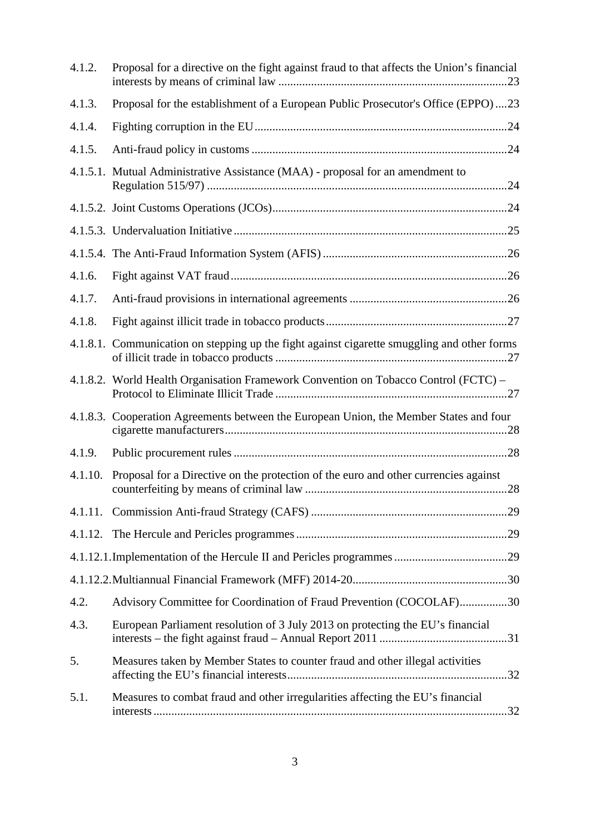| 4.1.2.  | Proposal for a directive on the fight against fraud to that affects the Union's financial   |
|---------|---------------------------------------------------------------------------------------------|
| 4.1.3.  | Proposal for the establishment of a European Public Prosecutor's Office (EPPO)23            |
| 4.1.4.  |                                                                                             |
| 4.1.5.  |                                                                                             |
|         | 4.1.5.1. Mutual Administrative Assistance (MAA) - proposal for an amendment to              |
|         |                                                                                             |
|         |                                                                                             |
|         |                                                                                             |
| 4.1.6.  |                                                                                             |
| 4.1.7.  |                                                                                             |
| 4.1.8.  |                                                                                             |
|         | 4.1.8.1. Communication on stepping up the fight against cigarette smuggling and other forms |
|         | 4.1.8.2. World Health Organisation Framework Convention on Tobacco Control (FCTC) –         |
|         | 4.1.8.3. Cooperation Agreements between the European Union, the Member States and four      |
| 4.1.9.  |                                                                                             |
| 4.1.10. | Proposal for a Directive on the protection of the euro and other currencies against         |
| 4.1.11. |                                                                                             |
| 4.1.12. |                                                                                             |
|         |                                                                                             |
|         |                                                                                             |
| 4.2.    | Advisory Committee for Coordination of Fraud Prevention (COCOLAF)30                         |
| 4.3.    | European Parliament resolution of 3 July 2013 on protecting the EU's financial              |
| 5.      | Measures taken by Member States to counter fraud and other illegal activities               |
| 5.1.    | Measures to combat fraud and other irregularities affecting the EU's financial              |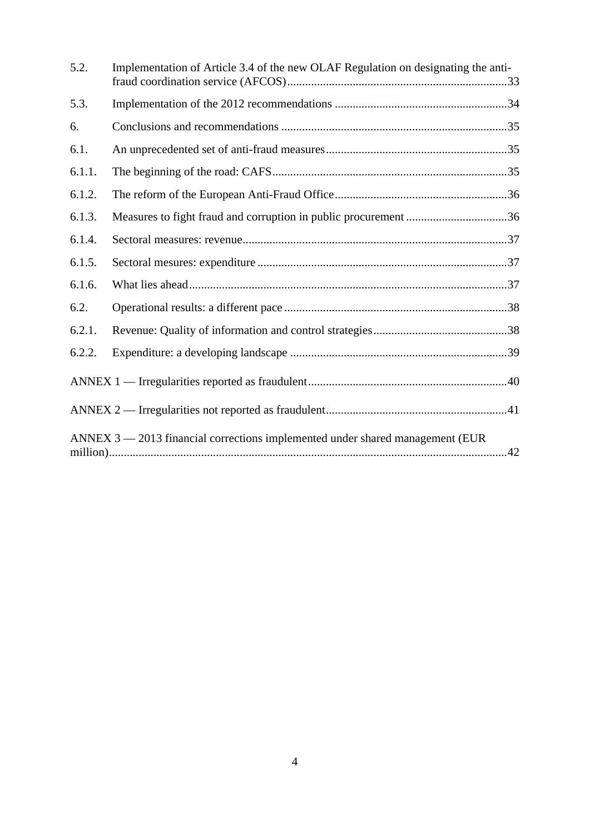| 5.2.   | Implementation of Article 3.4 of the new OLAF Regulation on designating the anti- |  |
|--------|-----------------------------------------------------------------------------------|--|
| 5.3.   |                                                                                   |  |
| 6.     |                                                                                   |  |
| 6.1.   |                                                                                   |  |
| 6.1.1. |                                                                                   |  |
| 6.1.2. |                                                                                   |  |
| 6.1.3. | Measures to fight fraud and corruption in public procurement 36                   |  |
| 6.1.4. |                                                                                   |  |
| 6.1.5. |                                                                                   |  |
| 6.1.6. |                                                                                   |  |
| 6.2.   |                                                                                   |  |
| 6.2.1. |                                                                                   |  |
| 6.2.2. |                                                                                   |  |
|        |                                                                                   |  |
|        |                                                                                   |  |
|        | ANNEX $3 - 2013$ financial corrections implemented under shared management (EUR)  |  |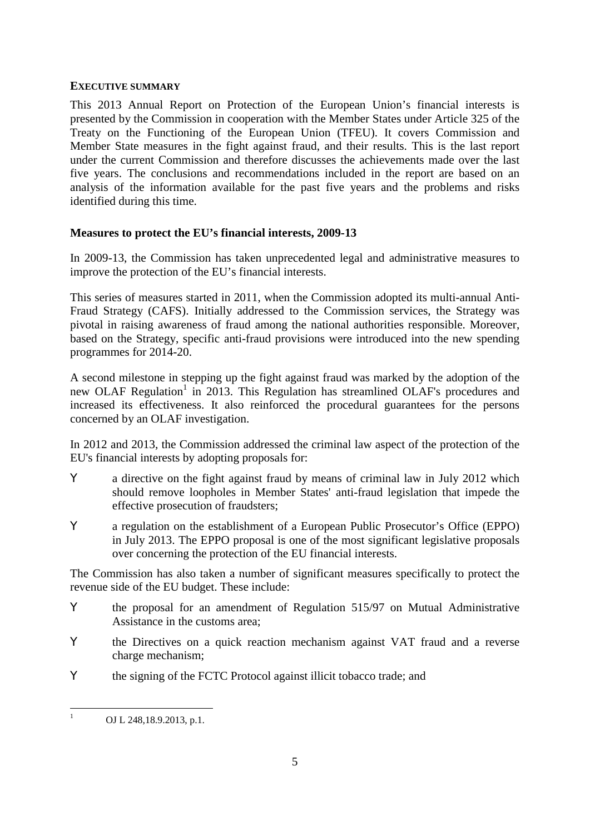#### **EXECUTIVE SUMMARY**

This 2013 Annual Report on Protection of the European Union's financial interests is presented by the Commission in cooperation with the Member States under Article 325 of the Treaty on the Functioning of the European Union (TFEU). It covers Commission and Member State measures in the fight against fraud, and their results. This is the last report under the current Commission and therefore discusses the achievements made over the last five years. The conclusions and recommendations included in the report are based on an analysis of the information available for the past five years and the problems and risks identified during this time.

#### **Measures to protect the EU's financial interests, 2009-13**

In 2009-13, the Commission has taken unprecedented legal and administrative measures to improve the protection of the EU's financial interests.

This series of measures started in 2011, when the Commission adopted its multi-annual Anti-Fraud Strategy (CAFS). Initially addressed to the Commission services, the Strategy was pivotal in raising awareness of fraud among the national authorities responsible. Moreover, based on the Strategy, specific anti-fraud provisions were introduced into the new spending programmes for 2014-20.

A second milestone in stepping up the fight against fraud was marked by the adoption of the new OLAF Regulation<sup>1</sup> in 2013. This Regulation has streamlined OLAF's procedures and increased its effectiveness. It also reinforced the procedural guarantees for the persons concerned by an OLAF investigation.

In 2012 and 2013, the Commission addressed the criminal law aspect of the protection of the EU's financial interests by adopting proposals for:

a directive on the fight against fraud by means of criminal law in July 2012 which should remove loopholes in Member States' anti-fraud legislation that impede the effective prosecution of fraudsters;

a regulation on the establishment of a European Public Prosecutor's Office (EPPO) in July 2013. The EPPO proposal is one of the most significant legislative proposals over concerning the protection of the EU financial interests.

The Commission has also taken a number of significant measures specifically to protect the revenue side of the EU budget. These include:

the proposal for an amendment of Regulation 515/97 on Mutual Administrative Assistance in the customs area;

the Directives on a quick reaction mechanism against VAT fraud and a reverse charge mechanism;

the signing of the FCTC Protocol against illicit tobacco trade; and

 $\mathbf{1}$ OJ L 248,18.9.2013, p.1.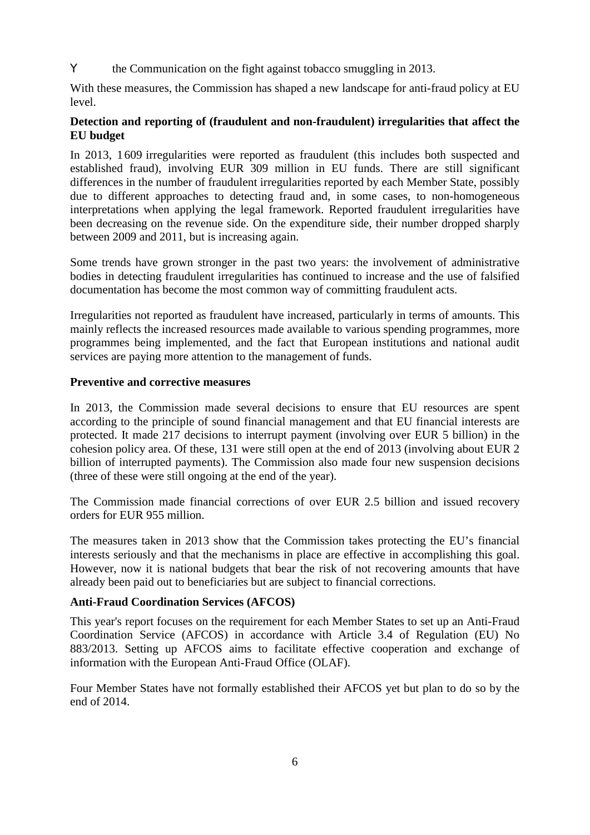the Communication on the fight against tobacco smuggling in 2013.

With these measures, the Commission has shaped a new landscape for anti-fraud policy at EU level.

# **Detection and reporting of (fraudulent and non-fraudulent) irregularities that affect the EU budget**

In 2013, 1609 irregularities were reported as fraudulent (this includes both suspected and established fraud), involving EUR 309 million in EU funds. There are still significant differences in the number of fraudulent irregularities reported by each Member State, possibly due to different approaches to detecting fraud and, in some cases, to non-homogeneous interpretations when applying the legal framework. Reported fraudulent irregularities have been decreasing on the revenue side. On the expenditure side, their number dropped sharply between 2009 and 2011, but is increasing again.

Some trends have grown stronger in the past two years: the involvement of administrative bodies in detecting fraudulent irregularities has continued to increase and the use of falsified documentation has become the most common way of committing fraudulent acts.

Irregularities not reported as fraudulent have increased, particularly in terms of amounts. This mainly reflects the increased resources made available to various spending programmes, more programmes being implemented, and the fact that European institutions and national audit services are paying more attention to the management of funds.

#### **Preventive and corrective measures**

In 2013, the Commission made several decisions to ensure that EU resources are spent according to the principle of sound financial management and that EU financial interests are protected. It made 217 decisions to interrupt payment (involving over EUR 5 billion) in the cohesion policy area. Of these, 131 were still open at the end of 2013 (involving about EUR 2 billion of interrupted payments). The Commission also made four new suspension decisions (three of these were still ongoing at the end of the year).

The Commission made financial corrections of over EUR 2.5 billion and issued recovery orders for EUR 955 million.

The measures taken in 2013 show that the Commission takes protecting the EU's financial interests seriously and that the mechanisms in place are effective in accomplishing this goal. However, now it is national budgets that bear the risk of not recovering amounts that have already been paid out to beneficiaries but are subject to financial corrections.

#### **Anti-Fraud Coordination Services (AFCOS)**

This year's report focuses on the requirement for each Member States to set up an Anti-Fraud Coordination Service (AFCOS) in accordance with Article 3.4 of Regulation (EU) No 883/2013. Setting up AFCOS aims to facilitate effective cooperation and exchange of information with the European Anti-Fraud Office (OLAF).

Four Member States have not formally established their AFCOS yet but plan to do so by the end of 2014.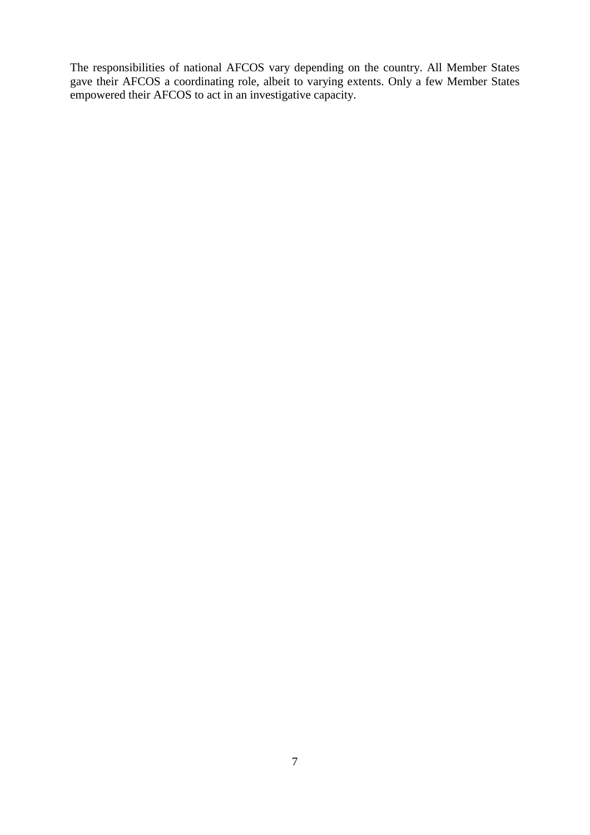The responsibilities of national AFCOS vary depending on the country. All Member States gave their AFCOS a coordinating role, albeit to varying extents. Only a few Member States empowered their AFCOS to act in an investigative capacity.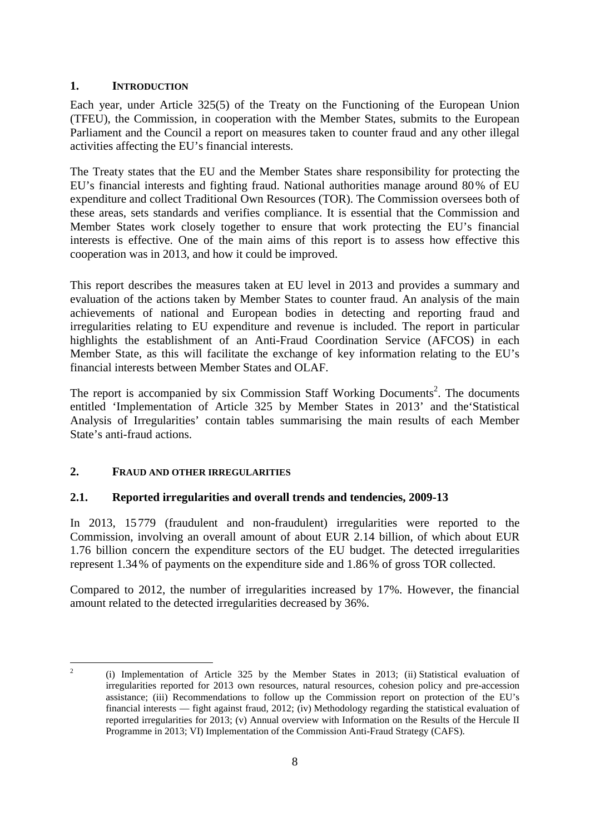# **1. INTRODUCTION**

Each year, under Article 325(5) of the Treaty on the Functioning of the European Union (TFEU), the Commission, in cooperation with the Member States, submits to the European Parliament and the Council a report on measures taken to counter fraud and any other illegal activities affecting the EU's financial interests.

The Treaty states that the EU and the Member States share responsibility for protecting the EU's financial interests and fighting fraud. National authorities manage around 80% of EU expenditure and collect Traditional Own Resources (TOR). The Commission oversees both of these areas, sets standards and verifies compliance. It is essential that the Commission and Member States work closely together to ensure that work protecting the EU's financial interests is effective. One of the main aims of this report is to assess how effective this cooperation was in 2013, and how it could be improved.

This report describes the measures taken at EU level in 2013 and provides a summary and evaluation of the actions taken by Member States to counter fraud. An analysis of the main achievements of national and European bodies in detecting and reporting fraud and irregularities relating to EU expenditure and revenue is included. The report in particular highlights the establishment of an Anti-Fraud Coordination Service (AFCOS) in each Member State, as this will facilitate the exchange of key information relating to the EU's financial interests between Member States and OLAF.

The report is accompanied by six Commission Staff Working Documents<sup>2</sup>. The documents entitled 'Implementation of Article 325 by Member States in 2013' and the'Statistical Analysis of Irregularities' contain tables summarising the main results of each Member State's anti-fraud actions.

# **2. FRAUD AND OTHER IRREGULARITIES**

 $\frac{1}{2}$ 

# **2.1. Reported irregularities and overall trends and tendencies, 2009-13**

In 2013, 15779 (fraudulent and non-fraudulent) irregularities were reported to the Commission, involving an overall amount of about EUR 2.14 billion, of which about EUR 1.76 billion concern the expenditure sectors of the EU budget. The detected irregularities represent 1.34% of payments on the expenditure side and 1.86% of gross TOR collected.

Compared to 2012, the number of irregularities increased by 17%. However, the financial amount related to the detected irregularities decreased by 36%.

<sup>(</sup>i) Implementation of Article 325 by the Member States in 2013; (ii) Statistical evaluation of irregularities reported for 2013 own resources, natural resources, cohesion policy and pre-accession assistance; (iii) Recommendations to follow up the Commission report on protection of the EU's financial interests — fight against fraud, 2012; (iv) Methodology regarding the statistical evaluation of reported irregularities for 2013; (v) Annual overview with Information on the Results of the Hercule II Programme in 2013; VI) Implementation of the Commission Anti-Fraud Strategy (CAFS).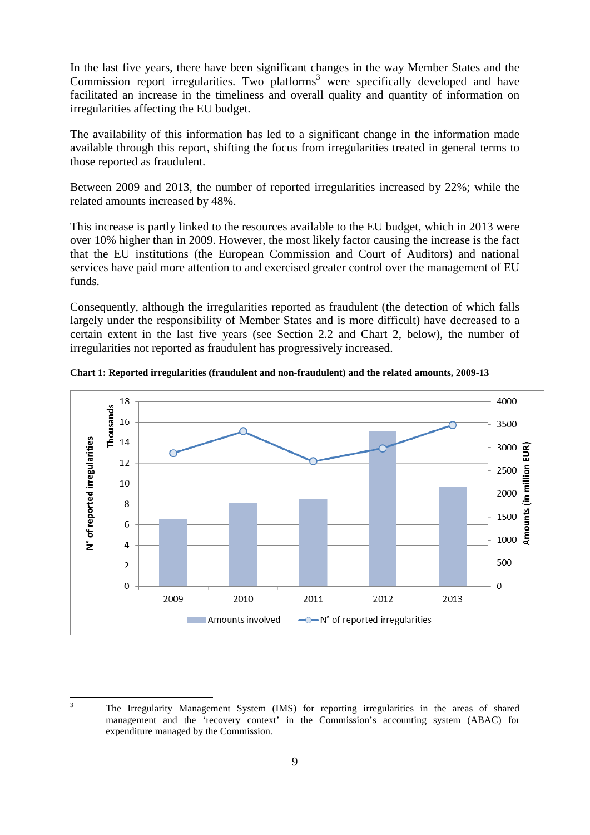In the last five years, there have been significant changes in the way Member States and the Commission report irregularities. Two platforms<sup>3</sup> were specifically developed and have facilitated an increase in the timeliness and overall quality and quantity of information on irregularities affecting the EU budget.

The availability of this information has led to a significant change in the information made available through this report, shifting the focus from irregularities treated in general terms to those reported as fraudulent.

Between 2009 and 2013, the number of reported irregularities increased by 22%; while the related amounts increased by 48%.

This increase is partly linked to the resources available to the EU budget, which in 2013 were over 10% higher than in 2009. However, the most likely factor causing the increase is the fact that the EU institutions (the European Commission and Court of Auditors) and national services have paid more attention to and exercised greater control over the management of EU funds.

Consequently, although the irregularities reported as fraudulent (the detection of which falls largely under the responsibility of Member States and is more difficult) have decreased to a certain extent in the last five years (see Section 2.2 and Chart 2, below), the number of irregularities not reported as fraudulent has progressively increased.



**Chart 1: Reported irregularities (fraudulent and non-fraudulent) and the related amounts, 2009-13**

 $\overline{3}$ 

<sup>3</sup> The Irregularity Management System (IMS) for reporting irregularities in the areas of shared management and the 'recovery context' in the Commission's accounting system (ABAC) for expenditure managed by the Commission.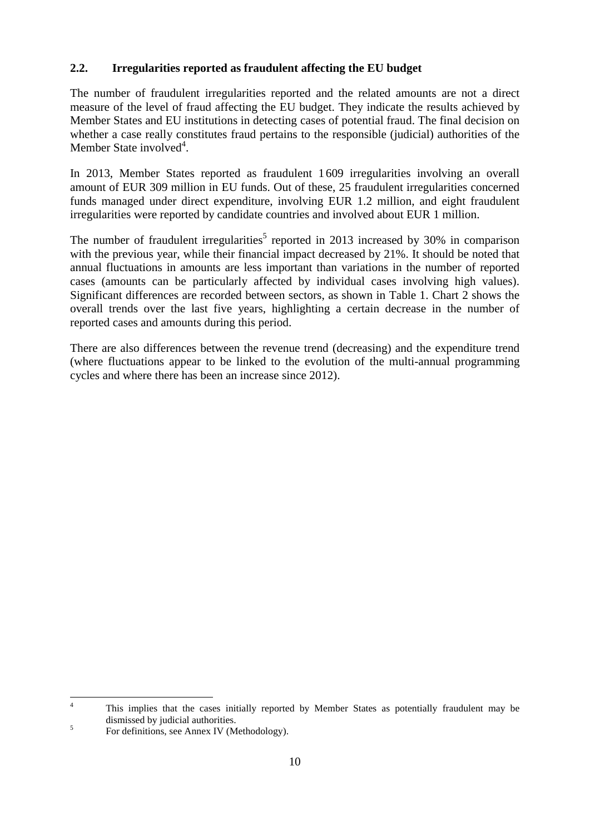# **2.2. Irregularities reported as fraudulent affecting the EU budget**

The number of fraudulent irregularities reported and the related amounts are not a direct measure of the level of fraud affecting the EU budget. They indicate the results achieved by Member States and EU institutions in detecting cases of potential fraud. The final decision on whether a case really constitutes fraud pertains to the responsible (judicial) authorities of the Member State involved<sup>4</sup>.

In 2013, Member States reported as fraudulent 1609 irregularities involving an overall amount of EUR 309 million in EU funds. Out of these, 25 fraudulent irregularities concerned funds managed under direct expenditure, involving EUR 1.2 million, and eight fraudulent irregularities were reported by candidate countries and involved about EUR 1 million.

The number of fraudulent irregularities<sup>5</sup> reported in 2013 increased by 30% in comparison with the previous year, while their financial impact decreased by 21%. It should be noted that annual fluctuations in amounts are less important than variations in the number of reported cases (amounts can be particularly affected by individual cases involving high values). Significant differences are recorded between sectors, as shown in Table 1. Chart 2 shows the overall trends over the last five years, highlighting a certain decrease in the number of reported cases and amounts during this period.

There are also differences between the revenue trend (decreasing) and the expenditure trend (where fluctuations appear to be linked to the evolution of the multi-annual programming cycles and where there has been an increase since 2012).

 $\overline{A}$ <sup>4</sup> This implies that the cases initially reported by Member States as potentially fraudulent may be dismissed by judicial authorities.

<sup>5</sup> For definitions, see Annex IV (Methodology).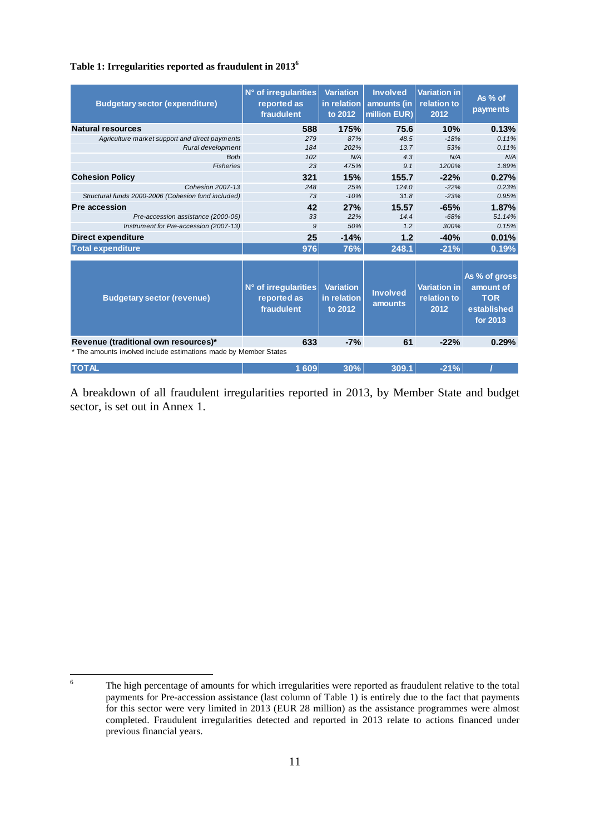#### **Table 1: Irregularities reported as fraudulent in 2013<sup>6</sup>**

| <b>Budgetary sector (expenditure)</b>                            | N° of irregularities<br>reported as<br>fraudulent | <b>Variation</b><br>in relation<br>to 2012 | <b>Involved</b><br>amounts (in<br>million EUR) | Variation in<br>relation to<br>2012        | As % of<br>payments                                                        |
|------------------------------------------------------------------|---------------------------------------------------|--------------------------------------------|------------------------------------------------|--------------------------------------------|----------------------------------------------------------------------------|
| <b>Natural resources</b>                                         | 588                                               | 175%                                       | 75.6                                           | 10%                                        | 0.13%                                                                      |
| Agriculture market support and direct payments                   | 279                                               | 87%                                        | 48.5                                           | $-18%$                                     | 0.11%                                                                      |
| Rural development                                                | 184                                               | 202%                                       | 13.7                                           | 53%                                        | 0.11%                                                                      |
| <b>Both</b>                                                      | 102                                               | N/A                                        | 4.3                                            | N/A                                        | N/A                                                                        |
| <b>Fisheries</b>                                                 | 23                                                | 475%                                       | 9.1                                            | 1200%                                      | 1.89%                                                                      |
| <b>Cohesion Policy</b>                                           | 321                                               | 15%                                        | 155.7                                          | $-22%$                                     | 0.27%                                                                      |
| <b>Cohesion 2007-13</b>                                          | 248                                               | 25%                                        | 124.0                                          | $-22%$                                     | 0.23%                                                                      |
| Structural funds 2000-2006 (Cohesion fund included)              | 73                                                | $-10%$                                     | 31.8                                           | $-23%$                                     | 0.95%                                                                      |
| Pre accession                                                    | 42                                                | 27%                                        | 15.57                                          | $-65%$                                     | 1.87%                                                                      |
| Pre-accession assistance (2000-06)                               | 33                                                | 22%                                        | 14.4                                           | $-68%$                                     | 51.14%                                                                     |
| Instrument for Pre-accession (2007-13)                           | 9                                                 | 50%                                        | 1.2                                            | 300%                                       | 0.15%                                                                      |
| <b>Direct expenditure</b>                                        | 25                                                | $-14%$                                     | 1.2                                            | $-40%$                                     | 0.01%                                                                      |
| <b>Total expenditure</b>                                         | 976                                               | 76%                                        | 248.1                                          | $-21%$                                     | 0.19%                                                                      |
| <b>Budgetary sector (revenue)</b>                                | N° of irregularities<br>reported as<br>fraudulent | <b>Variation</b><br>in relation<br>to 2012 | <b>Involved</b><br>amounts                     | <b>Variation in</b><br>relation to<br>2012 | As % of gross<br>amount of<br><b>TOR</b><br>established<br><b>for 2013</b> |
| Revenue (traditional own resources)*                             | 633                                               | $-7%$                                      | 61                                             | $-22%$                                     | 0.29%                                                                      |
| * The amounts involved include estimations made by Member States |                                                   |                                            |                                                |                                            |                                                                            |
| <b>TOTAL</b>                                                     | 1 609                                             | 30%                                        | 309.1                                          | $-21%$                                     |                                                                            |

A breakdown of all fraudulent irregularities reported in 2013, by Member State and budget sector, is set out in Annex 1.

 $\ddot{6}$ 

The high percentage of amounts for which irregularities were reported as fraudulent relative to the total payments for Pre-accession assistance (last column of Table 1) is entirely due to the fact that payments for this sector were very limited in 2013 (EUR 28 million) as the assistance programmes were almost completed. Fraudulent irregularities detected and reported in 2013 relate to actions financed under previous financial years.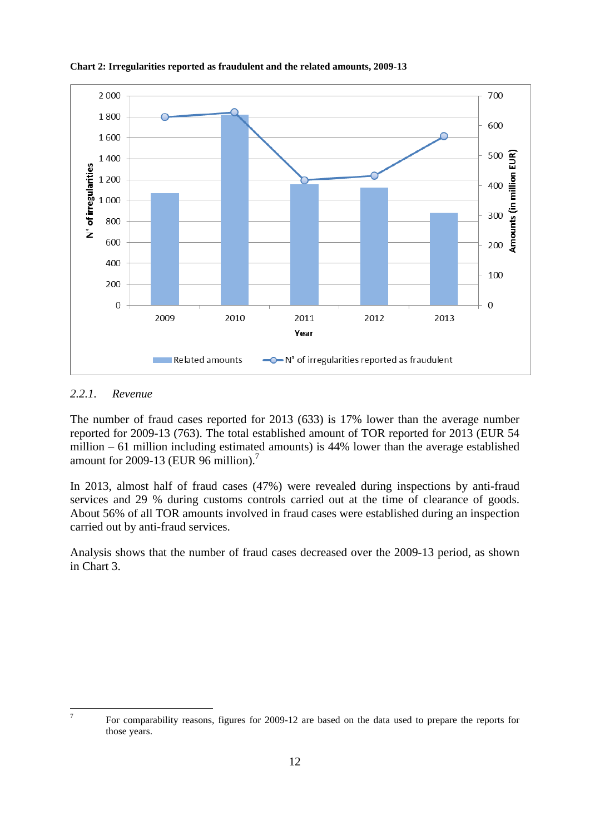

#### **Chart 2: Irregularities reported as fraudulent and the related amounts, 2009-13**

#### *2.2.1. Revenue*

The number of fraud cases reported for 2013 (633) is 17% lower than the average number reported for 2009-13 (763). The total established amount of TOR reported for 2013 (EUR 54 million – 61 million including estimated amounts) is 44% lower than the average established amount for 2009-13 (EUR 96 million).<sup>7</sup>

In 2013, almost half of fraud cases (47%) were revealed during inspections by anti-fraud services and 29 % during customs controls carried out at the time of clearance of goods. About 56% of all TOR amounts involved in fraud cases were established during an inspection carried out by anti-fraud services.

Analysis shows that the number of fraud cases decreased over the 2009-13 period, as shown in Chart 3.

<sup>-</sup>

For comparability reasons, figures for 2009-12 are based on the data used to prepare the reports for those years.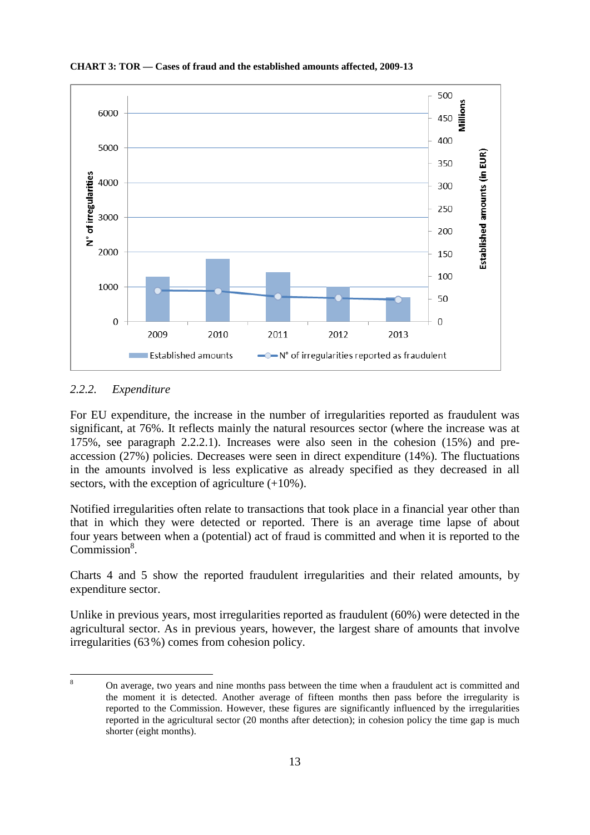

**CHART 3: TOR — Cases of fraud and the established amounts affected, 2009-13**

#### *2.2.2. Expenditure*

For EU expenditure, the increase in the number of irregularities reported as fraudulent was significant, at 76%. It reflects mainly the natural resources sector (where the increase was at 175%, see paragraph 2.2.2.1). Increases were also seen in the cohesion (15%) and preaccession (27%) policies. Decreases were seen in direct expenditure (14%). The fluctuations in the amounts involved is less explicative as already specified as they decreased in all sectors, with the exception of agriculture  $(+10\%)$ .

Notified irregularities often relate to transactions that took place in a financial year other than that in which they were detected or reported. There is an average time lapse of about four years between when a (potential) act of fraud is committed and when it is reported to the Commission<sup>8</sup>.

Charts 4 and 5 show the reported fraudulent irregularities and their related amounts, by expenditure sector.

Unlike in previous years, most irregularities reported as fraudulent (60%) were detected in the agricultural sector. As in previous years, however, the largest share of amounts that involve irregularities (63%) comes from cohesion policy.

 $\overline{8}$ <sup>8</sup> On average, two years and nine months pass between the time when a fraudulent act is committed and the moment it is detected. Another average of fifteen months then pass before the irregularity is reported to the Commission. However, these figures are significantly influenced by the irregularities reported in the agricultural sector (20 months after detection); in cohesion policy the time gap is much shorter (eight months).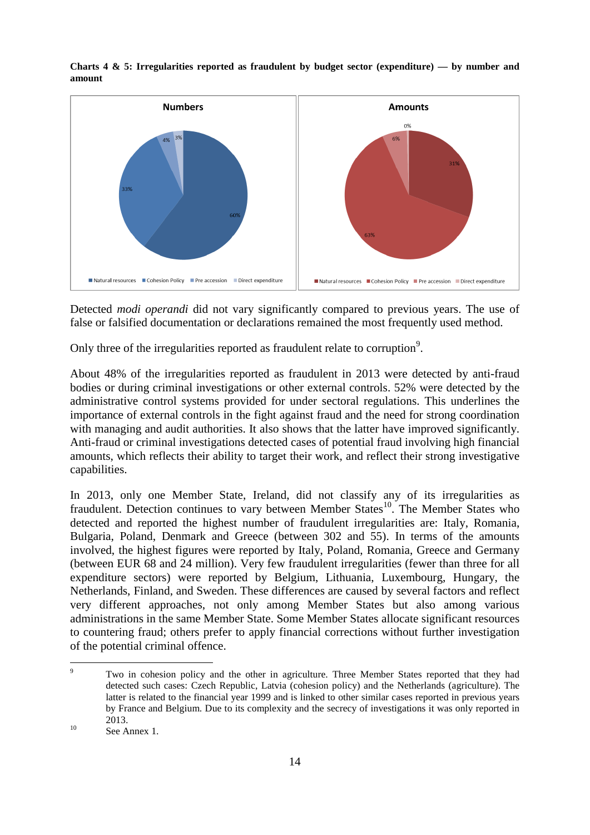

**Charts 4 & 5: Irregularities reported as fraudulent by budget sector (expenditure) — by number and amount**

Detected *modi operandi* did not vary significantly compared to previous years. The use of false or falsified documentation or declarations remained the most frequently used method.

Only three of the irregularities reported as fraudulent relate to corruption<sup>9</sup>.

About 48% of the irregularities reported as fraudulent in 2013 were detected by anti-fraud bodies or during criminal investigations or other external controls. 52% were detected by the administrative control systems provided for under sectoral regulations. This underlines the importance of external controls in the fight against fraud and the need for strong coordination with managing and audit authorities. It also shows that the latter have improved significantly. Anti-fraud or criminal investigations detected cases of potential fraud involving high financial amounts, which reflects their ability to target their work, and reflect their strong investigative capabilities.

In 2013, only one Member State, Ireland, did not classify any of its irregularities as fraudulent. Detection continues to vary between Member States<sup>10</sup>. The Member States who detected and reported the highest number of fraudulent irregularities are: Italy, Romania, Bulgaria, Poland, Denmark and Greece (between 302 and 55). In terms of the amounts involved, the highest figures were reported by Italy, Poland, Romania, Greece and Germany (between EUR 68 and 24 million). Very few fraudulent irregularities (fewer than three for all expenditure sectors) were reported by Belgium, Lithuania, Luxembourg, Hungary, the Netherlands, Finland, and Sweden. These differences are caused by several factors and reflect very different approaches, not only among Member States but also among various administrations in the same Member State. Some Member States allocate significant resources to countering fraud; others prefer to apply financial corrections without further investigation of the potential criminal offence.

 $\overline{Q}$ Two in cohesion policy and the other in agriculture. Three Member States reported that they had detected such cases: Czech Republic, Latvia (cohesion policy) and the Netherlands (agriculture). The latter is related to the financial year 1999 and is linked to other similar cases reported in previous years by France and Belgium. Due to its complexity and the secrecy of investigations it was only reported in 2013.

 $10$  See Annex 1.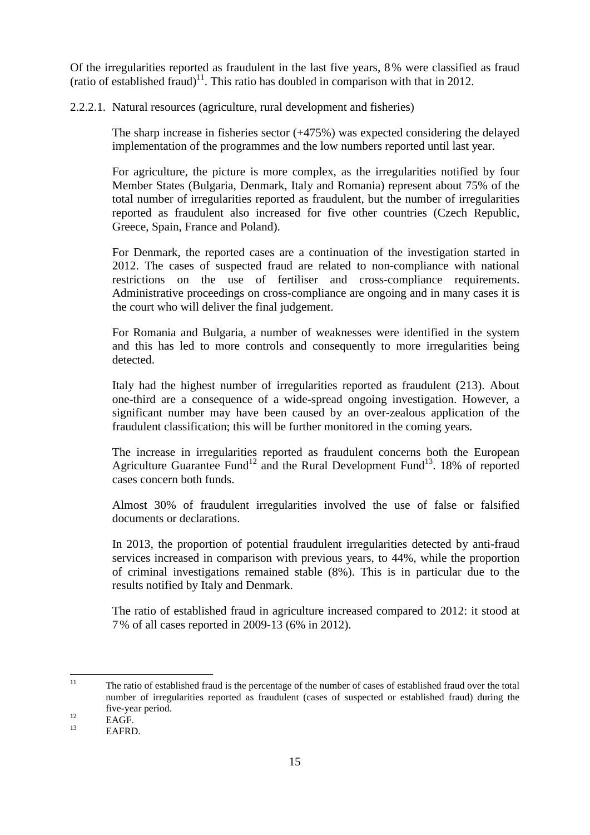Of the irregularities reported as fraudulent in the last five years, 8% were classified as fraud (ratio of established fraud)<sup>11</sup>. This ratio has doubled in comparison with that in 2012.

2.2.2.1. Natural resources (agriculture, rural development and fisheries)

The sharp increase in fisheries sector (+475%) was expected considering the delayed implementation of the programmes and the low numbers reported until last year.

For agriculture, the picture is more complex, as the irregularities notified by four Member States (Bulgaria, Denmark, Italy and Romania) represent about 75% of the total number of irregularities reported as fraudulent, but the number of irregularities reported as fraudulent also increased for five other countries (Czech Republic, Greece, Spain, France and Poland).

For Denmark, the reported cases are a continuation of the investigation started in 2012. The cases of suspected fraud are related to non-compliance with national restrictions on the use of fertiliser and cross-compliance requirements. Administrative proceedings on cross-compliance are ongoing and in many cases it is the court who will deliver the final judgement.

For Romania and Bulgaria, a number of weaknesses were identified in the system and this has led to more controls and consequently to more irregularities being detected.

Italy had the highest number of irregularities reported as fraudulent (213). About one-third are a consequence of a wide-spread ongoing investigation. However, a significant number may have been caused by an over-zealous application of the fraudulent classification; this will be further monitored in the coming years.

The increase in irregularities reported as fraudulent concerns both the European Agriculture Guarantee Fund<sup>12</sup> and the Rural Development Fund<sup>13</sup>. 18% of reported cases concern both funds.

Almost 30% of fraudulent irregularities involved the use of false or falsified documents or declarations.

In 2013, the proportion of potential fraudulent irregularities detected by anti-fraud services increased in comparison with previous years, to 44%, while the proportion of criminal investigations remained stable (8%). This is in particular due to the results notified by Italy and Denmark.

The ratio of established fraud in agriculture increased compared to 2012: it stood at 7% of all cases reported in 2009-13 (6% in 2012).

 $11$ <sup>11</sup> The ratio of established fraud is the percentage of the number of cases of established fraud over the total number of irregularities reported as fraudulent (cases of suspected or established fraud) during the five-year period.

 $12 \text{ EAGF.}$ 

EAFRD.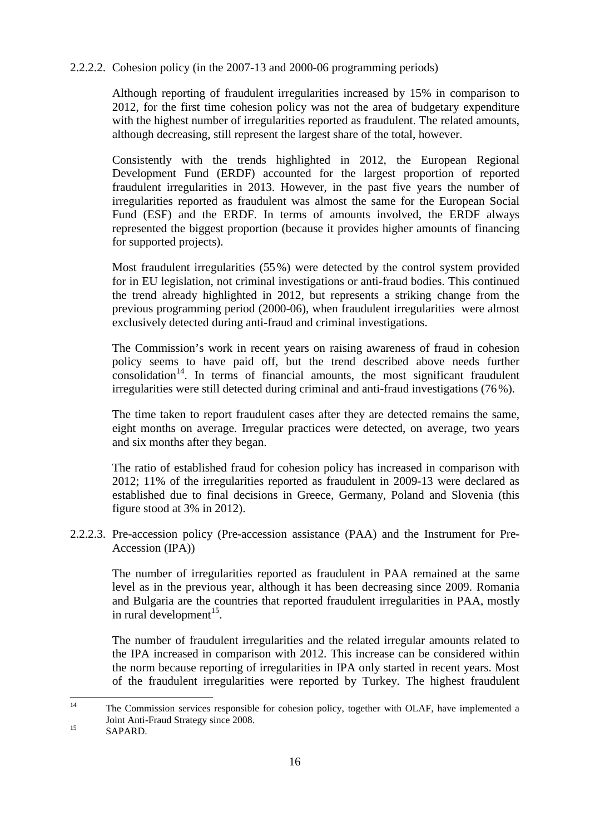2.2.2.2. Cohesion policy (in the 2007-13 and 2000-06 programming periods)

Although reporting of fraudulent irregularities increased by 15% in comparison to 2012, for the first time cohesion policy was not the area of budgetary expenditure with the highest number of irregularities reported as fraudulent. The related amounts, although decreasing, still represent the largest share of the total, however.

Consistently with the trends highlighted in 2012, the European Regional Development Fund (ERDF) accounted for the largest proportion of reported fraudulent irregularities in 2013. However, in the past five years the number of irregularities reported as fraudulent was almost the same for the European Social Fund (ESF) and the ERDF. In terms of amounts involved, the ERDF always represented the biggest proportion (because it provides higher amounts of financing for supported projects).

Most fraudulent irregularities (55%) were detected by the control system provided for in EU legislation, not criminal investigations or anti-fraud bodies. This continued the trend already highlighted in 2012, but represents a striking change from the previous programming period (2000-06), when fraudulent irregularities were almost exclusively detected during anti-fraud and criminal investigations.

The Commission's work in recent years on raising awareness of fraud in cohesion policy seems to have paid off, but the trend described above needs further  $\frac{1}{2}$  consolidation<sup>14</sup>. In terms of financial amounts, the most significant fraudulent irregularities were still detected during criminal and anti-fraud investigations (76%).

The time taken to report fraudulent cases after they are detected remains the same, eight months on average. Irregular practices were detected, on average, two years and six months after they began.

The ratio of established fraud for cohesion policy has increased in comparison with 2012; 11% of the irregularities reported as fraudulent in 2009-13 were declared as established due to final decisions in Greece, Germany, Poland and Slovenia (this figure stood at 3% in 2012).

2.2.2.3. Pre-accession policy (Pre-accession assistance (PAA) and the Instrument for Pre-Accession (IPA))

The number of irregularities reported as fraudulent in PAA remained at the same level as in the previous year, although it has been decreasing since 2009. Romania and Bulgaria are the countries that reported fraudulent irregularities in PAA, mostly in rural development $^{15}$ .

The number of fraudulent irregularities and the related irregular amounts related to the IPA increased in comparison with 2012. This increase can be considered within the norm because reporting of irregularities in IPA only started in recent years. Most of the fraudulent irregularities were reported by Turkey. The highest fraudulent

 $14$ The Commission services responsible for cohesion policy, together with OLAF, have implemented a Joint Anti-Fraud Strategy since 2008.

<sup>&</sup>lt;sup>15</sup> SAPARD.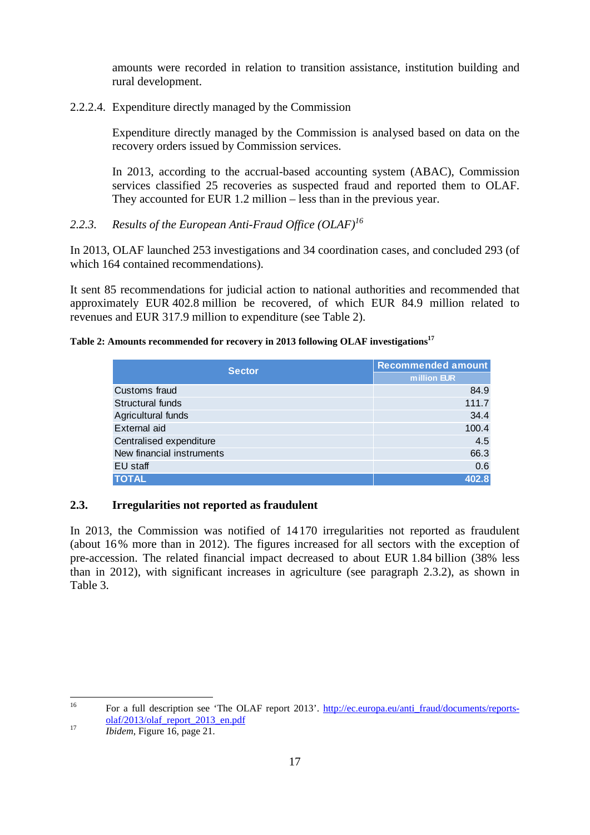amounts were recorded in relation to transition assistance, institution building and rural development.

2.2.2.4. Expenditure directly managed by the Commission

Expenditure directly managed by the Commission is analysed based on data on the recovery orders issued by Commission services.

In 2013, according to the accrual-based accounting system (ABAC), Commission services classified 25 recoveries as suspected fraud and reported them to OLAF. They accounted for EUR 1.2 million – less than in the previous year.

# *2.2.3. Results of the European Anti-Fraud Office (OLAF)<sup>16</sup>*

In 2013, OLAF launched 253 investigations and 34 coordination cases, and concluded 293 (of which 164 contained recommendations).

It sent 85 recommendations for judicial action to national authorities and recommended that approximately EUR 402.8 million be recovered, of which EUR 84.9 million related to revenues and EUR 317.9 million to expenditure (see Table 2).

# **Table 2: Amounts recommended for recovery in 2013 following OLAF investigations<sup>17</sup>**

| <b>Sector</b>             | Recommended amount |
|---------------------------|--------------------|
|                           | million EUR        |
| Customs fraud             | 84.9               |
| Structural funds          | 111.7              |
| Agricultural funds        | 34.4               |
| External aid              | 100.4              |
| Centralised expenditure   | 4.5                |
| New financial instruments | 66.3               |
| EU staff                  | 0.6                |
| <b>TOTAL</b>              | 402.8              |

# **2.3. Irregularities not reported as fraudulent**

In 2013, the Commission was notified of 14170 irregularities not reported as fraudulent (about 16% more than in 2012). The figures increased for all sectors with the exception of pre-accession. The related financial impact decreased to about EUR 1.84 billion (38% less than in 2012), with significant increases in agriculture (see paragraph 2.3.2), as shown in Table 3.

 $16\,$ <sup>16</sup> For a full description see 'The OLAF report 2013'. http://ec.europa.eu/anti\_fraud/documents/reportsolaf/2013/olaf\_report\_2013\_en.pdf

<sup>17</sup> *Ibidem*, Figure 16, page 21.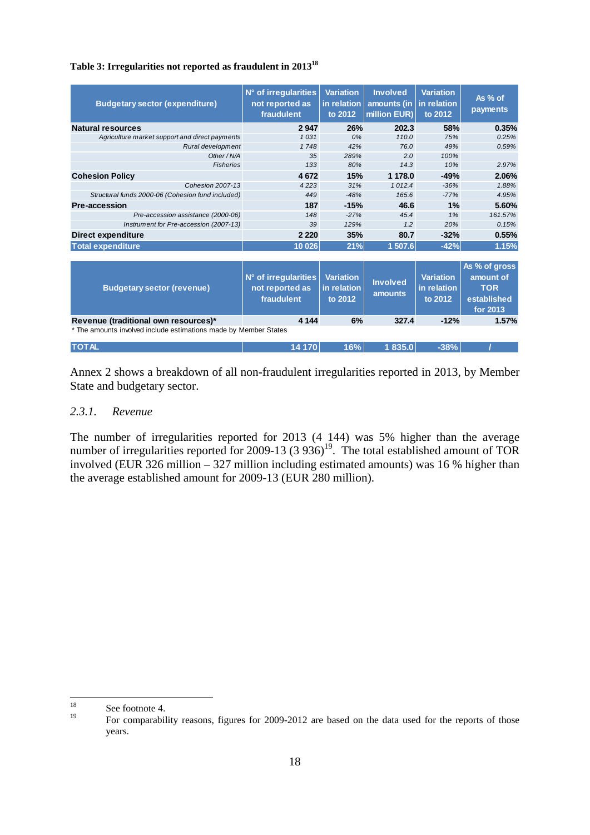|  |  |  |  |  | Table 3: Irregularities not reported as fraudulent in 2013 <sup>18</sup> |
|--|--|--|--|--|--------------------------------------------------------------------------|
|--|--|--|--|--|--------------------------------------------------------------------------|

| <b>Budgetary sector (expenditure)</b>                            | N° of irregularities<br>not reported as<br>fraudulent | <b>Variation</b><br>in relation<br>to 2012 | <b>Involved</b><br>amounts (in<br>million EUR) | <b>Variation</b><br>in relation<br>to 2012 | As % of<br>payments                                                 |
|------------------------------------------------------------------|-------------------------------------------------------|--------------------------------------------|------------------------------------------------|--------------------------------------------|---------------------------------------------------------------------|
| <b>Natural resources</b>                                         | 2947                                                  | 26%                                        | 202.3                                          | 58%                                        | 0.35%                                                               |
| Agriculture market support and direct payments                   | 1031                                                  | 0%                                         | 110.0                                          | 75%                                        | 0.25%                                                               |
| Rural development                                                | 1748                                                  | 42%                                        | 76.0                                           | 49%                                        | 0.59%                                                               |
| Other / N/A                                                      | 35                                                    | 289%                                       | 2.0                                            | 100%                                       |                                                                     |
| <b>Fisheries</b>                                                 | 133                                                   | 80%                                        | 14.3                                           | 10%                                        | 2.97%                                                               |
| <b>Cohesion Policy</b>                                           | 4672                                                  | 15%                                        | 1 178.0                                        | $-49%$                                     | 2.06%                                                               |
| <b>Cohesion 2007-13</b>                                          | 4223                                                  | 31%                                        | 1012.4                                         | $-36%$                                     | 1.88%                                                               |
| Structural funds 2000-06 (Cohesion fund included)                | 449                                                   | $-48%$                                     | 165.6                                          | $-77%$                                     | 4.95%                                                               |
| Pre-accession                                                    | 187                                                   | $-15%$                                     | 46.6                                           | 1%                                         | 5.60%                                                               |
| Pre-accession assistance (2000-06)                               | 148                                                   | $-27%$                                     | 45.4                                           | 1%                                         | 161.57%                                                             |
| Instrument for Pre-accession (2007-13)                           | 39                                                    | 129%                                       | 1.2                                            | 20%                                        | 0.15%                                                               |
| <b>Direct expenditure</b>                                        | 2 2 2 0                                               | 35%                                        | 80.7                                           | $-32%$                                     | 0.55%                                                               |
| <b>Total expenditure</b>                                         | 10 0 26                                               | 21%                                        | 1 507.6                                        | $-42%$                                     | 1.15%                                                               |
| <b>Budgetary sector (revenue)</b>                                | N° of irregularities<br>not reported as<br>fraudulent | <b>Variation</b><br>in relation<br>to 2012 | <b>Involved</b><br>amounts                     | <b>Variation</b><br>in relation<br>to 2012 | As % of gross<br>amount of<br><b>TOR</b><br>established<br>for 2013 |
| Revenue (traditional own resources)*                             | 4 1 4 4                                               | 6%                                         | 327.4                                          | $-12%$                                     | 1.57%                                                               |
| * The amounts involved include estimations made by Member States |                                                       |                                            |                                                |                                            |                                                                     |
| <b>TOTAL</b>                                                     | 14 170                                                | 16%                                        | 1835.0                                         | $-38%$                                     |                                                                     |

Annex 2 shows a breakdown of all non-fraudulent irregularities reported in 2013, by Member State and budgetary sector.

# *2.3.1. Revenue*

The number of irregularities reported for 2013 (4 144) was 5% higher than the average number of irregularities reported for 2009-13 (3 936)<sup>19</sup>. The total established amount of TOR involved (EUR 326 million – 327 million including estimated amounts) was 16 % higher than the average established amount for 2009-13 (EUR 280 million).

<sup>18</sup>  $18$  See footnote 4.

<sup>19</sup> For comparability reasons, figures for 2009-2012 are based on the data used for the reports of those years.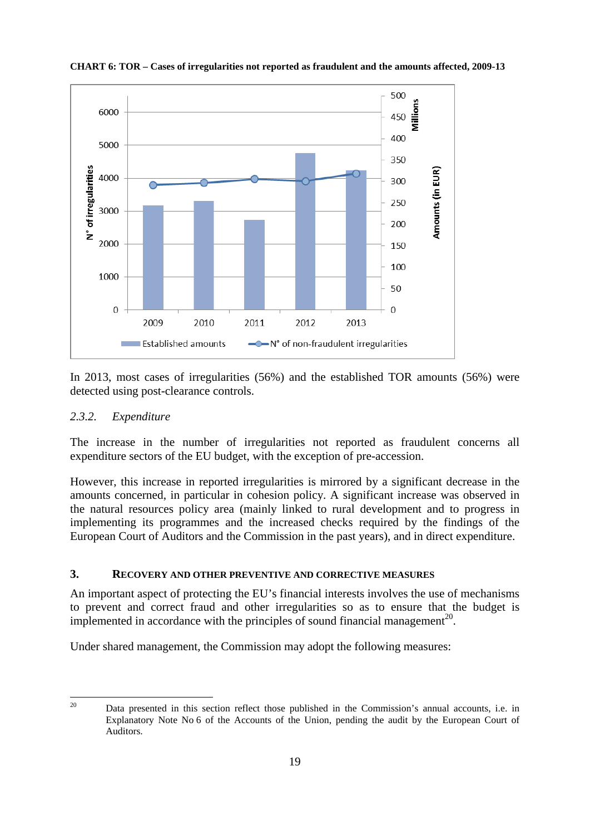

**CHART 6: TOR – Cases of irregularities not reported as fraudulent and the amounts affected, 2009-13**

In 2013, most cases of irregularities (56%) and the established TOR amounts (56%) were detected using post-clearance controls.

#### *2.3.2. Expenditure*

The increase in the number of irregularities not reported as fraudulent concerns all expenditure sectors of the EU budget, with the exception of pre-accession.

However, this increase in reported irregularities is mirrored by a significant decrease in the amounts concerned, in particular in cohesion policy. A significant increase was observed in the natural resources policy area (mainly linked to rural development and to progress in implementing its programmes and the increased checks required by the findings of the European Court of Auditors and the Commission in the past years), and in direct expenditure.

#### **3. RECOVERY AND OTHER PREVENTIVE AND CORRECTIVE MEASURES**

An important aspect of protecting the EU's financial interests involves the use of mechanisms to prevent and correct fraud and other irregularities so as to ensure that the budget is implemented in accordance with the principles of sound financial management<sup>20</sup>.

Under shared management, the Commission may adopt the following measures:

20

<sup>20</sup> Data presented in this section reflect those published in the Commission's annual accounts, i.e. in Explanatory Note No 6 of the Accounts of the Union, pending the audit by the European Court of Auditors.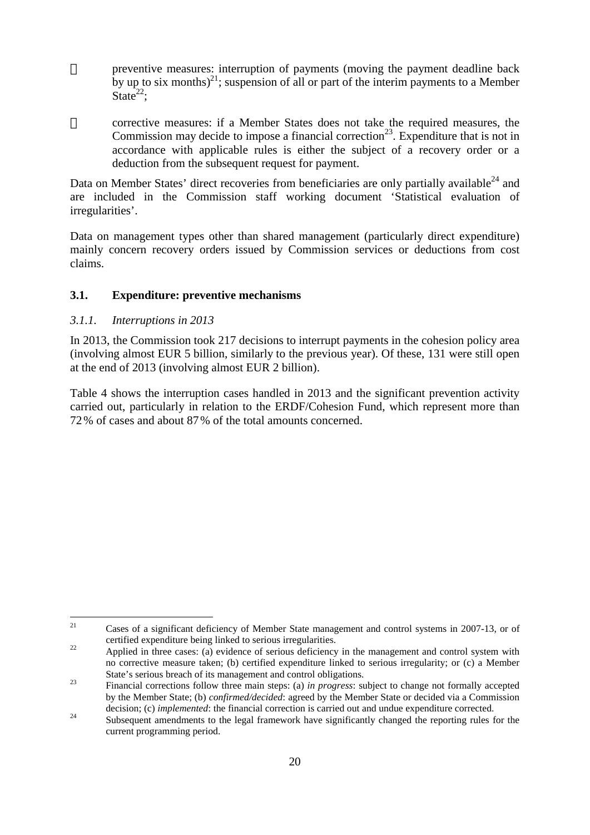preventive measures: interruption of payments (moving the payment deadline back by up to six months)<sup>21</sup>; suspension of all or part of the interim payments to a Member State $^{22}$ :

corrective measures: if a Member States does not take the required measures, the Commission may decide to impose a financial correction<sup>23</sup>. Expenditure that is not in accordance with applicable rules is either the subject of a recovery order or a deduction from the subsequent request for payment.

Data on Member States' direct recoveries from beneficiaries are only partially available $^{24}$  and are included in the Commission staff working document 'Statistical evaluation of irregularities'.

Data on management types other than shared management (particularly direct expenditure) mainly concern recovery orders issued by Commission services or deductions from cost claims.

#### **3.1. Expenditure: preventive mechanisms**

#### *3.1.1. Interruptions in 2013*

In 2013, the Commission took 217 decisions to interrupt payments in the cohesion policy area (involving almost EUR 5 billion, similarly to the previous year). Of these, 131 were still open at the end of 2013 (involving almost EUR 2 billion).

Table 4 shows the interruption cases handled in 2013 and the significant prevention activity carried out, particularly in relation to the ERDF/Cohesion Fund, which represent more than 72% of cases and about 87% of the total amounts concerned.

 $21$ <sup>21</sup> Cases of a significant deficiency of Member State management and control systems in 2007-13, or of certified expenditure being linked to serious irregularities.

<sup>&</sup>lt;sup>22</sup> Applied in three cases: (a) evidence of serious deficiency in the management and control system with no corrective measure taken; (b) certified expenditure linked to serious irregularity; or (c) a Member State's serious breach of its management and control obligations.

<sup>23</sup> Financial corrections follow three main steps: (a) *in progress*: subject to change not formally accepted by the Member State; (b) *confirmed/decided*: agreed by the Member State or decided via a Commission decision; (c) *implemented*: the financial correction is carried out and undue expenditure corrected.

<sup>&</sup>lt;sup>24</sup> Subsequent amendments to the legal framework have significantly changed the reporting rules for the current programming period.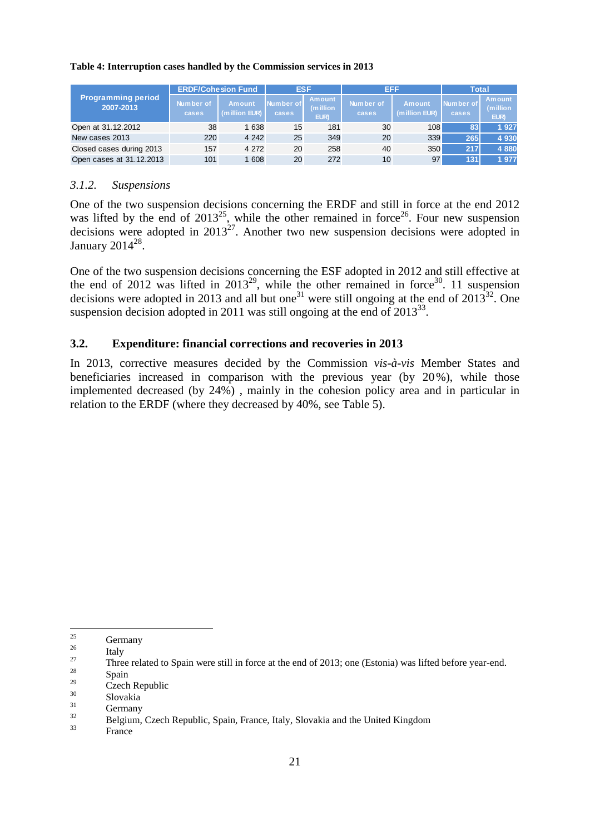#### **Table 4: Interruption cases handled by the Commission services in 2013**

|                                        |                    | <b>ERDF/Cohesion Fund</b> | <b>ESF</b>         |                                    | EFF                |                                |                    | Total                              |
|----------------------------------------|--------------------|---------------------------|--------------------|------------------------------------|--------------------|--------------------------------|--------------------|------------------------------------|
| <b>Programming period</b><br>2007-2013 | Number of<br>cases | Amount<br>(million EUR)   | Number of<br>cases | <b>Amount</b><br>(million)<br>EUR) | Number of<br>cases | <b>Amount</b><br>(million EUR) | Number of<br>cases | <b>Amount</b><br>(million)<br>EUR) |
| Open at 31.12.2012                     | 38                 | 1 638                     | 15                 | 181                                | 30                 | 108                            | 83                 | 1927                               |
| New cases 2013                         | 220                | 4 2 4 2                   | 25                 | 349                                | 20                 | 339                            | 265                | 4 9 3 0                            |
| Closed cases during 2013               | 157                | 4 2 7 2                   | 20                 | 258                                | 40                 | 350                            | 217                | 4880                               |
| Open cases at 31.12.2013               | 101                | 608                       | 20                 | 272                                | 10                 | 97                             | 131                | 1977                               |

#### *3.1.2. Suspensions*

One of the two suspension decisions concerning the ERDF and still in force at the end 2012 was lifted by the end of  $2013^{25}$ , while the other remained in force<sup>26</sup>. Four new suspension decisions were adopted in  $2013^{27}$ . Another two new suspension decisions were adopted in January 2014 $^{28}$ .

One of the two suspension decisions concerning the ESF adopted in 2012 and still effective at the end of 2012 was lifted in  $2013^{29}$ , while the other remained in force<sup>30</sup>. 11 suspension decisions were adopted in 2013 and all but one<sup>31</sup> were still ongoing at the end of  $2013^{32}$ . One suspension decision adopted in 2011 was still ongoing at the end of  $2013^{33}$ .

#### **3.2. Expenditure: financial corrections and recoveries in 2013**

In 2013, corrective measures decided by the Commission *vis-à-vis* Member States and beneficiaries increased in comparison with the previous year (by 20%), while those implemented decreased (by 24%) , mainly in the cohesion policy area and in particular in relation to the ERDF (where they decreased by 40%, see Table 5).

<sup>25</sup>  $\frac{25}{26}$  Germany

 $\frac{26}{27}$  Italy

<sup>&</sup>lt;sup>27</sup> Three related to Spain were still in force at the end of 2013; one (Estonia) was lifted before year-end.

 $\frac{28}{29}$  Spain

 $\frac{29}{30}$  Czech Republic

 $\frac{30}{31}$  Slovakia

 $\frac{31}{32}$  Germany

 $32$  Belgium, Czech Republic, Spain, France, Italy, Slovakia and the United Kingdom

**France**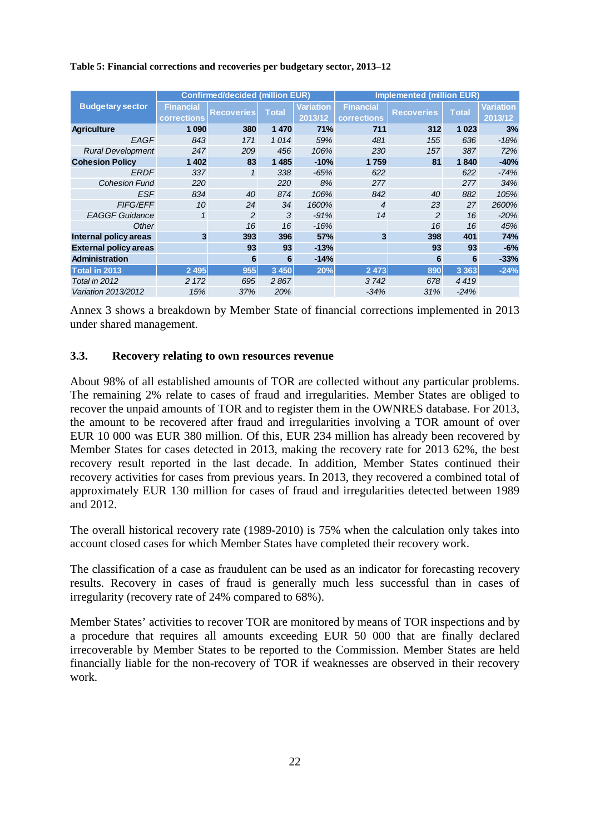|                              |                    | <b>Confirmed/decided (million EUR)</b> |              |                  | <b>Implemented (million EUR)</b> |                   |              |                  |  |  |
|------------------------------|--------------------|----------------------------------------|--------------|------------------|----------------------------------|-------------------|--------------|------------------|--|--|
| <b>Budgetary sector</b>      | <b>Financial</b>   | <b>Recoveries</b>                      | <b>Total</b> | <b>Variation</b> | <b>Financial</b>                 | <b>Recoveries</b> | <b>Total</b> | <b>Variation</b> |  |  |
|                              | <b>corrections</b> |                                        |              | 2013/12          | corrections                      |                   |              | 2013/12          |  |  |
| <b>Agriculture</b>           | 1 0 9 0            | 380                                    | 1470         | 71%              | 711                              | 312               | 1 0 2 3      | 3%               |  |  |
| EAGF                         | 843                | 171                                    | 1014         | 59%              | 481                              | 155               | 636          | $-18%$           |  |  |
| <b>Rural Development</b>     | 247                | 209                                    | 456          | 106%             | 230                              | 157               | 387          | 72%              |  |  |
| <b>Cohesion Policy</b>       | 1 4 0 2            | 83                                     | 1485         | $-10%$           | 1759                             | 81                | 1840         | $-40%$           |  |  |
| <b>ERDF</b>                  | 337                | 1                                      | 338          | $-65%$           | 622                              |                   | 622          | $-74%$           |  |  |
| <b>Cohesion Fund</b>         | <b>220</b>         |                                        | 220          | 8%               | 277                              |                   | 277          | 34%              |  |  |
| <b>ESF</b>                   | 834                | 40                                     | 874          | 106%             | 842                              | 40                | 882          | 105%             |  |  |
| <b>FIFG/EFF</b>              | 10                 | 24                                     | 34           | 1600%            | $\overline{4}$                   | 23                | 27           | 2600%            |  |  |
| <b>EAGGF Guidance</b>        | $\mathcal I$       | 2                                      | 3            | $-91%$           | 14                               | $\mathfrak{p}$    | 16           | $-20%$           |  |  |
| Other                        |                    | 16                                     | 16           | -16%             |                                  | 16                | 16           | 45%              |  |  |
| Internal policy areas        | 3                  | 393                                    | 396          | 57%              | 3                                | 398               | 401          | 74%              |  |  |
| <b>External policy areas</b> |                    | 93                                     | 93           | $-13%$           |                                  | 93                | 93           | $-6%$            |  |  |
| Administration               |                    | 6                                      | 6            | $-14%$           |                                  | 6                 | 6            | $-33%$           |  |  |
| Total in 2013                | 2 4 9 5            | 955                                    | 3 4 5 0      | 20%              | 2 4 7 3                          | 890               | 3 3 6 3      | $-24%$           |  |  |
| Total in 2012                | 2 1 7 2            | 695                                    | 2867         |                  | 3742                             | 678               | 4419         |                  |  |  |
| Variation 2013/2012          | 15%                | 37%                                    | 20%          |                  | $-34%$                           | 31%               | $-24%$       |                  |  |  |

#### **Table 5: Financial corrections and recoveries per budgetary sector, 2013–12**

Annex 3 shows a breakdown by Member State of financial corrections implemented in 2013 under shared management.

#### **3.3. Recovery relating to own resources revenue**

About 98% of all established amounts of TOR are collected without any particular problems. The remaining 2% relate to cases of fraud and irregularities. Member States are obliged to recover the unpaid amounts of TOR and to register them in the OWNRES database. For 2013, the amount to be recovered after fraud and irregularities involving a TOR amount of over EUR 10 000 was EUR 380 million. Of this, EUR 234 million has already been recovered by Member States for cases detected in 2013, making the recovery rate for 2013 62%, the best recovery result reported in the last decade. In addition, Member States continued their recovery activities for cases from previous years. In 2013, they recovered a combined total of approximately EUR 130 million for cases of fraud and irregularities detected between 1989 and 2012.

The overall historical recovery rate (1989-2010) is 75% when the calculation only takes into account closed cases for which Member States have completed their recovery work.

The classification of a case as fraudulent can be used as an indicator for forecasting recovery results. Recovery in cases of fraud is generally much less successful than in cases of irregularity (recovery rate of 24% compared to 68%).

Member States' activities to recover TOR are monitored by means of TOR inspections and by a procedure that requires all amounts exceeding EUR 50 000 that are finally declared irrecoverable by Member States to be reported to the Commission. Member States are held financially liable for the non-recovery of TOR if weaknesses are observed in their recovery work.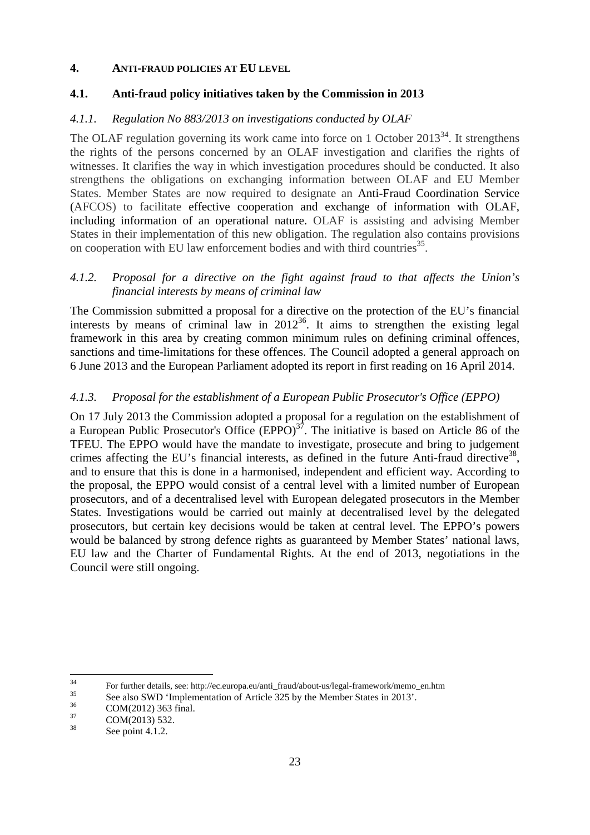#### **4. ANTI-FRAUD POLICIES AT EU LEVEL**

# **4.1. Anti-fraud policy initiatives taken by the Commission in 2013**

# *4.1.1. Regulation No 883/2013 on investigations conducted by OLAF*

The OLAF regulation governing its work came into force on 1 October  $2013^{34}$ . It strengthens the rights of the persons concerned by an OLAF investigation and clarifies the rights of witnesses. It clarifies the way in which investigation procedures should be conducted. It also strengthens the obligations on exchanging information between OLAF and EU Member States. Member States are now required to designate an Anti-Fraud Coordination Service (AFCOS) to facilitate effective cooperation and exchange of information with OLAF, including information of an operational nature. OLAF is assisting and advising Member States in their implementation of this new obligation. The regulation also contains provisions on cooperation with EU law enforcement bodies and with third countries<sup>35</sup>.

# *4.1.2. Proposal for a directive on the fight against fraud to that affects the Union's financial interests by means of criminal law*

The Commission submitted a proposal for a directive on the protection of the EU's financial interests by means of criminal law in  $2012^{36}$ . It aims to strengthen the existing legal framework in this area by creating common minimum rules on defining criminal offences, sanctions and time-limitations for these offences. The Council adopted a general approach on 6 June 2013 and the European Parliament adopted its report in first reading on 16 April 2014.

# *4.1.3. Proposal for the establishment of a European Public Prosecutor's Office (EPPO)*

On 17 July 2013 the Commission adopted a proposal for a regulation on the establishment of a European Public Prosecutor's Office  $(EPPO)^{37}$ . The initiative is based on Article 86 of the TFEU. The EPPO would have the mandate to investigate, prosecute and bring to judgement crimes affecting the EU's financial interests, as defined in the future Anti-fraud directive<sup>38</sup>, and to ensure that this is done in a harmonised, independent and efficient way. According to the proposal, the EPPO would consist of a central level with a limited number of European prosecutors, and of a decentralised level with European delegated prosecutors in the Member States. Investigations would be carried out mainly at decentralised level by the delegated prosecutors, but certain key decisions would be taken at central level. The EPPO's powers would be balanced by strong defence rights as guaranteed by Member States' national laws, EU law and the Charter of Fundamental Rights. At the end of 2013, negotiations in the Council were still ongoing.

<sup>34</sup>  $^{34}$  For further details, see: http://ec.europa.eu/anti\_fraud/about-us/legal-framework/memo\_en.htm

<sup>&</sup>lt;sup>35</sup> See also SWD 'Implementation of Article 325 by the Member States in 2013'.<br>  $SOM(2012)$  262 firstl

 $\frac{36}{37}$  COM(2012) 363 final.

 $\frac{37}{38}$  COM(2013) 532.

See point 4.1.2.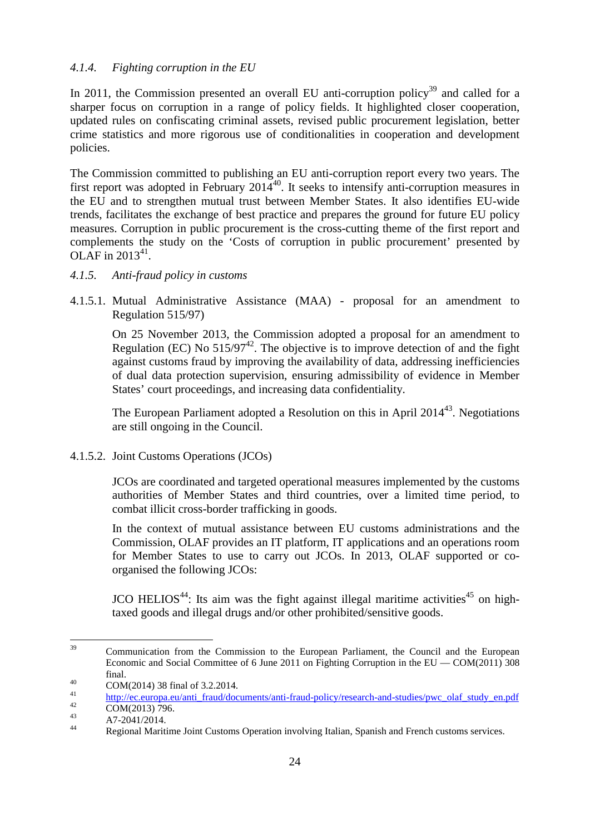# *4.1.4. Fighting corruption in the EU*

In 2011, the Commission presented an overall EU anti-corruption policy<sup>39</sup> and called for a sharper focus on corruption in a range of policy fields. It highlighted closer cooperation, updated rules on confiscating criminal assets, revised public procurement legislation, better crime statistics and more rigorous use of conditionalities in cooperation and development policies.

The Commission committed to publishing an EU anti-corruption report every two years. The first report was adopted in February  $2014^{40}$ . It seeks to intensify anti-corruption measures in the EU and to strengthen mutual trust between Member States. It also identifies EU-wide trends, facilitates the exchange of best practice and prepares the ground for future EU policy measures. Corruption in public procurement is the cross-cutting theme of the first report and complements the study on the 'Costs of corruption in public procurement' presented by OLAF in  $2013^{41}$ .

#### *4.1.5. Anti-fraud policy in customs*

4.1.5.1. Mutual Administrative Assistance (MAA) - proposal for an amendment to Regulation 515/97)

On 25 November 2013, the Commission adopted a proposal for an amendment to Regulation (EC) No  $515/97^{42}$ . The objective is to improve detection of and the fight against customs fraud by improving the availability of data, addressing inefficiencies of dual data protection supervision, ensuring admissibility of evidence in Member States' court proceedings, and increasing data confidentiality.

The European Parliament adopted a Resolution on this in April  $2014^{43}$ . Negotiations are still ongoing in the Council.

4.1.5.2. Joint Customs Operations (JCOs)

JCOs are coordinated and targeted operational measures implemented by the customs authorities of Member States and third countries, over a limited time period, to combat illicit cross-border trafficking in goods.

In the context of mutual assistance between EU customs administrations and the Commission, OLAF provides an IT platform, IT applications and an operations room for Member States to use to carry out JCOs. In 2013, OLAF supported or coorganised the following JCOs:

JCO HELIOS<sup>44</sup>: Its aim was the fight against illegal maritime activities<sup>45</sup> on hightaxed goods and illegal drugs and/or other prohibited/sensitive goods.

 $39$ <sup>39</sup> Communication from the Commission to the European Parliament, the Council and the European Economic and Social Committee of 6 June 2011 on Fighting Corruption in the EU — COM(2011) 308 final.

<sup>40</sup> COM(2014) 38 final of 3.2.2014.

 $\frac{\text{http://ec.europa.eu/anti-fraud/documents/anti-fraud-policy/research-and-studies/pwc}$ olaf study en.pdf $\frac{200 \text{A}}{200 \text{A}} = \frac{1}{200}$ 

 $^{42}$  COM(2013) 796.  $^{43}$  A7-2041/2014.

Regional Maritime Joint Customs Operation involving Italian, Spanish and French customs services.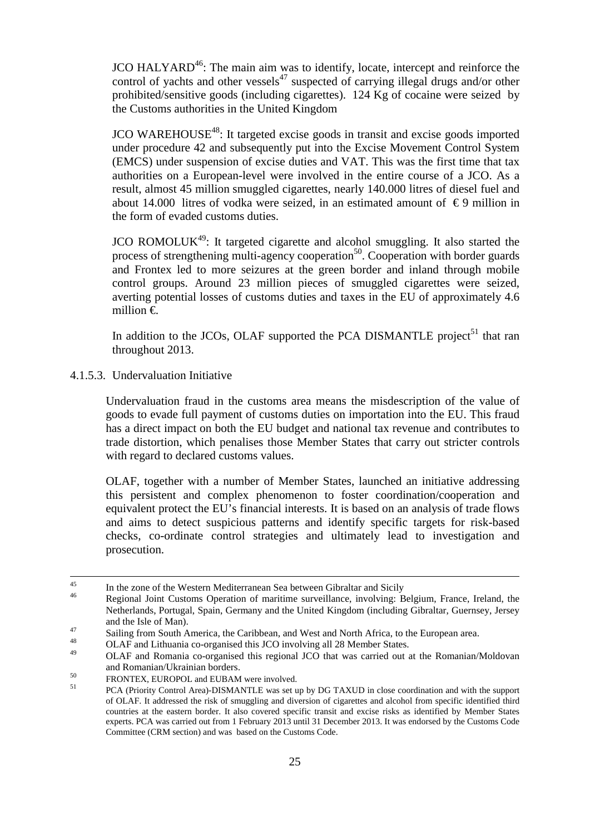JCO HALYARD<sup>46</sup>: The main aim was to identify, locate, intercept and reinforce the control of yachts and other vessels<sup>47</sup> suspected of carrying illegal drugs and/or other prohibited/sensitive goods (including cigarettes). 124 Kg of cocaine were seized by the Customs authorities in the United Kingdom

 $JCO$  WAREHOUSE<sup>48</sup>: It targeted excise goods in transit and excise goods imported under procedure 42 and subsequently put into the Excise Movement Control System (EMCS) under suspension of excise duties and VAT. This was the first time that tax authorities on a European-level were involved in the entire course of a JCO. As a result, almost 45 million smuggled cigarettes, nearly 140.000 litres of diesel fuel and about 14.000 litres of vodka were seized, in an estimated amount of  $\epsilon$ 9 million in the form of evaded customs duties.

JCO ROMOLUK<sup>49</sup>: It targeted cigarette and alcohol smuggling. It also started the process of strengthening multi-agency cooperation<sup>50</sup>. Cooperation with border guards and Frontex led to more seizures at the green border and inland through mobile control groups. Around 23 million pieces of smuggled cigarettes were seized, averting potential losses of customs duties and taxes in the EU of approximately 4.6 million €.

In addition to the JCOs, OLAF supported the PCA DISMANTLE project<sup>51</sup> that ran throughout 2013.

4.1.5.3. Undervaluation Initiative

Undervaluation fraud in the customs area means the misdescription of the value of goods to evade full payment of customs duties on importation into the EU. This fraud has a direct impact on both the EU budget and national tax revenue and contributes to trade distortion, which penalises those Member States that carry out stricter controls with regard to declared customs values.

OLAF, together with a number of Member States, launched an initiative addressing this persistent and complex phenomenon to foster coordination/cooperation and equivalent protect the EU's financial interests. It is based on an analysis of trade flows and aims to detect suspicious patterns and identify specific targets for risk-based checks, co-ordinate control strategies and ultimately lead to investigation and prosecution.

<sup>45</sup> <sup>45</sup> In the zone of the Western Mediterranean Sea between Gibraltar and Sicily  $\frac{46}{10}$ 

Regional Joint Customs Operation of maritime surveillance, involving: Belgium, France, Ireland, the Netherlands, Portugal, Spain, Germany and the United Kingdom (including Gibraltar, Guernsey, Jersey and the Isle of Man).

<sup>&</sup>lt;sup>47</sup> Sailing from South America, the Caribbean, and West and North Africa, to the European area.

<sup>&</sup>lt;sup>48</sup> OLAF and Lithuania co-organised this JCO involving all 28 Member States.

<sup>49</sup> OLAF and Romania co-organised this regional JCO that was carried out at the Romanian/Moldovan and Romanian/Ukrainian borders.

<sup>&</sup>lt;sup>50</sup> FRONTEX, EUROPOL and EUBAM were involved.<br>
FRONTEX, Christine Cantral Anna) DISMANTE European

<sup>51</sup> PCA (Priority Control Area)-DISMANTLE was set up by DG TAXUD in close coordination and with the support of OLAF. It addressed the risk of smuggling and diversion of cigarettes and alcohol from specific identified third countries at the eastern border. It also covered specific transit and excise risks as identified by Member States experts. PCA was carried out from 1 February 2013 until 31 December 2013. It was endorsed by the Customs Code Committee (CRM section) and was based on the Customs Code.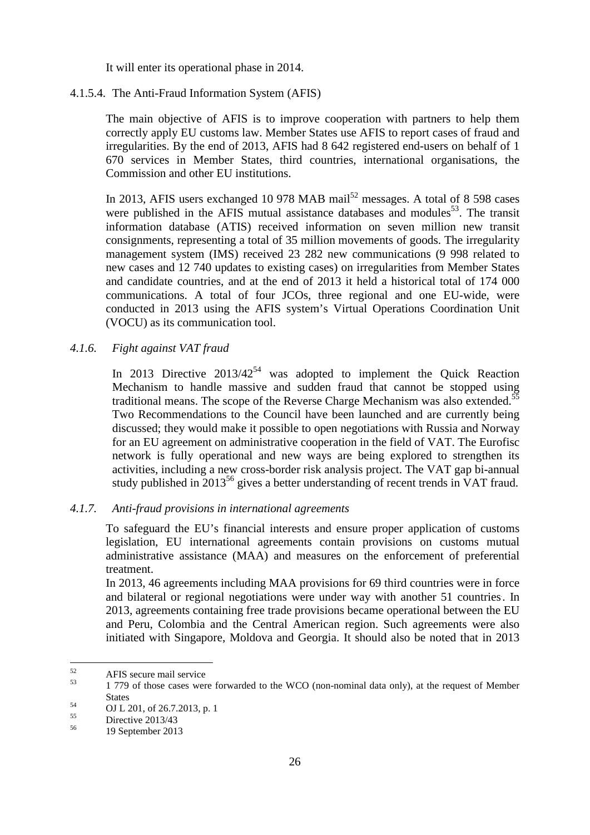It will enter its operational phase in 2014.

#### 4.1.5.4. The Anti-Fraud Information System (AFIS)

The main objective of AFIS is to improve cooperation with partners to help them correctly apply EU customs law. Member States use AFIS to report cases of fraud and irregularities. By the end of 2013, AFIS had 8 642 registered end-users on behalf of 1 670 services in Member States, third countries, international organisations, the Commission and other EU institutions.

In 2013, AFIS users exchanged 10 978 MAB mail<sup>52</sup> messages. A total of 8 598 cases were published in the AFIS mutual assistance databases and modules<sup>53</sup>. The transit information database (ATIS) received information on seven million new transit consignments, representing a total of 35 million movements of goods. The irregularity management system (IMS) received 23 282 new communications (9 998 related to new cases and 12 740 updates to existing cases) on irregularities from Member States and candidate countries, and at the end of 2013 it held a historical total of 174 000 communications. A total of four JCOs, three regional and one EU-wide, were conducted in 2013 using the AFIS system's Virtual Operations Coordination Unit (VOCU) as its communication tool.

#### *4.1.6. Fight against VAT fraud*

In 2013 Directive  $2013/42^{54}$  was adopted to implement the Quick Reaction Mechanism to handle massive and sudden fraud that cannot be stopped using traditional means. The scope of the Reverse Charge Mechanism was also extended.<sup>55</sup> Two Recommendations to the Council have been launched and are currently being discussed; they would make it possible to open negotiations with Russia and Norway for an EU agreement on administrative cooperation in the field of VAT. The Eurofisc network is fully operational and new ways are being explored to strengthen its activities, including a new cross-border risk analysis project. The VAT gap bi-annual study published in  $2013^{56}$  gives a better understanding of recent trends in VAT fraud.

#### *4.1.7. Anti-fraud provisions in international agreements*

To safeguard the EU's financial interests and ensure proper application of customs legislation, EU international agreements contain provisions on customs mutual administrative assistance (MAA) and measures on the enforcement of preferential treatment.

In 2013, 46 agreements including MAA provisions for 69 third countries were in force and bilateral or regional negotiations were under way with another 51 countries. . In 2013, agreements containing free trade provisions became operational between the EU and Peru, Colombia and the Central American region. Such agreements were also initiated with Singapore, Moldova and Georgia. It should also be noted that in 2013

<sup>52</sup>  $^{52}$  AFIS secure mail service

<sup>53</sup> 1 779 of those cases were forwarded to the WCO (non-nominal data only), at the request of Member **States** 

 $^{54}$  OJ L 201, of 26.7.2013, p. 1

 $55$  Directive 2013/43

<sup>56</sup> 19 September 2013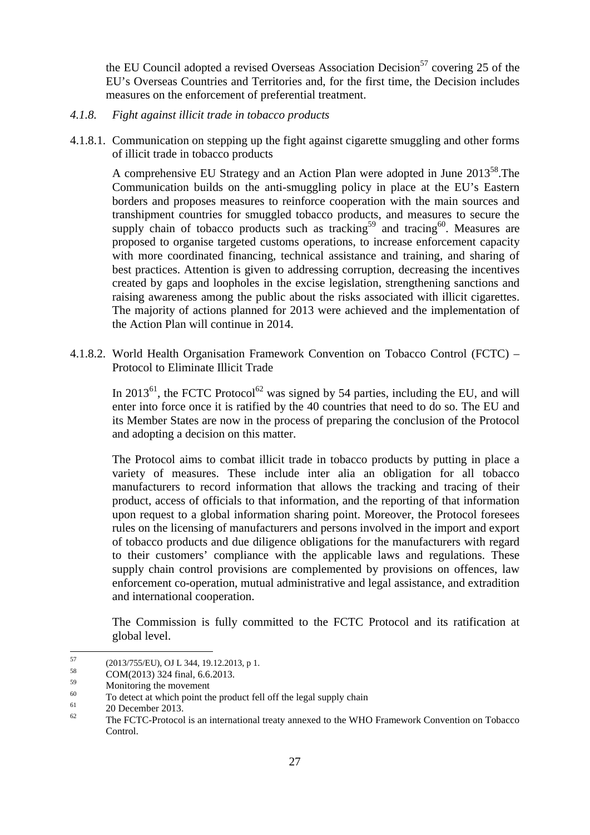the EU Council adopted a revised Overseas Association Decision<sup>57</sup> covering 25 of the EU's Overseas Countries and Territories and, for the first time, the Decision includes measures on the enforcement of preferential treatment.

- *4.1.8. Fight against illicit trade in tobacco products*
- 4.1.8.1. Communication on stepping up the fight against cigarette smuggling and other forms of illicit trade in tobacco products

A comprehensive EU Strategy and an Action Plan were adopted in June 2013<sup>58</sup>. The Communication builds on the anti-smuggling policy in place at the EU's Eastern borders and proposes measures to reinforce cooperation with the main sources and transhipment countries for smuggled tobacco products, and measures to secure the supply chain of tobacco products such as tracking<sup>59</sup> and tracing<sup>60</sup>. Measures are proposed to organise targeted customs operations, to increase enforcement capacity with more coordinated financing, technical assistance and training, and sharing of best practices. Attention is given to addressing corruption, decreasing the incentives created by gaps and loopholes in the excise legislation, strengthening sanctions and raising awareness among the public about the risks associated with illicit cigarettes. The majority of actions planned for 2013 were achieved and the implementation of the Action Plan will continue in 2014.

4.1.8.2. World Health Organisation Framework Convention on Tobacco Control (FCTC) – Protocol to Eliminate Illicit Trade

In 2013<sup>61</sup>, the FCTC Protocol<sup>62</sup> was signed by 54 parties, including the EU, and will enter into force once it is ratified by the 40 countries that need to do so. The EU and its Member States are now in the process of preparing the conclusion of the Protocol and adopting a decision on this matter.

The Protocol aims to combat illicit trade in tobacco products by putting in place a variety of measures. These include inter alia an obligation for all tobacco manufacturers to record information that allows the tracking and tracing of their product, access of officials to that information, and the reporting of that information upon request to a global information sharing point. Moreover, the Protocol foresees rules on the licensing of manufacturers and persons involved in the import and export of tobacco products and due diligence obligations for the manufacturers with regard to their customers' compliance with the applicable laws and regulations. These supply chain control provisions are complemented by provisions on offences, law enforcement co-operation, mutual administrative and legal assistance, and extradition and international cooperation.

The Commission is fully committed to the FCTC Protocol and its ratification at global level.

<sup>57</sup> <sup>57</sup> (2013/755/EU), OJ L 344, 19.12.2013, p 1.<br>
<sub>58</sub> (COM(2012) 224  $5 \times 1.662012$ 

 $5^8$  COM(2013) 324 final, 6.6.2013.

 $\frac{59}{60}$  Monitoring the movement

<sup>&</sup>lt;sup>60</sup> To detect at which point the product fell off the legal supply chain  $^{61}$ 

 $^{61}$  20 December 2013.

The FCTC-Protocol is an international treaty annexed to the WHO Framework Convention on Tobacco Control.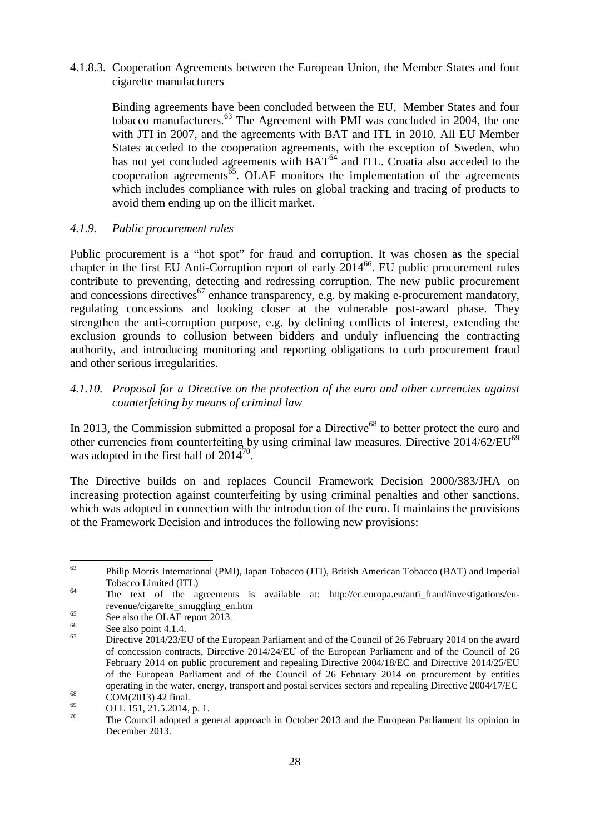4.1.8.3. Cooperation Agreements between the European Union, the Member States and four cigarette manufacturers

Binding agreements have been concluded between the EU, Member States and four tobacco manufacturers. <sup>63</sup> The Agreement with PMI was concluded in 2004, the one with JTI in 2007, and the agreements with BAT and ITL in 2010. All EU Member States acceded to the cooperation agreements, with the exception of Sweden, who has not yet concluded agreements with  $BAT<sup>64</sup>$  and ITL. Croatia also acceded to the cooperation agreements<sup> $65$ </sup>. OLAF monitors the implementation of the agreements which includes compliance with rules on global tracking and tracing of products to avoid them ending up on the illicit market.

#### *4.1.9. Public procurement rules*

Public procurement is a "hot spot" for fraud and corruption. It was chosen as the special chapter in the first EU Anti-Corruption report of early 2014<sup>66</sup>. EU public procurement rules contribute to preventing, detecting and redressing corruption. The new public procurement and concessions directives<sup>67</sup> enhance transparency, e.g. by making e-procurement mandatory, regulating concessions and looking closer at the vulnerable post-award phase. They strengthen the anti-corruption purpose, e.g. by defining conflicts of interest, extending the exclusion grounds to collusion between bidders and unduly influencing the contracting authority, and introducing monitoring and reporting obligations to curb procurement fraud and other serious irregularities.

#### *4.1.10. Proposal for a Directive on the protection of the euro and other currencies against counterfeiting by means of criminal law*

In 2013, the Commission submitted a proposal for a Directive<sup>68</sup> to better protect the euro and other currencies from counterfeiting by using criminal law measures. Directive 2014/62/EU<sup>69</sup> was adopted in the first half of  $2014^{70}$ .

The Directive builds on and replaces Council Framework Decision 2000/383/JHA on increasing protection against counterfeiting by using criminal penalties and other sanctions, which was adopted in connection with the introduction of the euro. It maintains the provisions of the Framework Decision and introduces the following new provisions:

<sup>63</sup> <sup>63</sup> Philip Morris International (PMI), Japan Tobacco (JTI), British American Tobacco (BAT) and Imperial Tobacco Limited (ITL)

<sup>&</sup>lt;sup>64</sup> The text of the agreements is available at: http://ec.europa.eu/anti\_fraud/investigations/eurevenue/cigarette\_smuggling\_en.htm

 $65$  See also the OLAF report 2013.

 $\begin{array}{c}\n 66 \\
 \hline\n 67\n \end{array}$  See also point 4.1.4.

<sup>67</sup> Directive 2014/23/EU of the European Parliament and of the Council of 26 February 2014 on the award of concession contracts, Directive 2014/24/EU of the European Parliament and of the Council of 26 February 2014 on public procurement and repealing Directive 2004/18/EC and Directive 2014/25/EU of the European Parliament and of the Council of 26 February 2014 on procurement by entities operating in the water, energy, transport and postal services sectors and repealing Directive 2004/17/EC

 $^{68}$  COM(2013) 42 final.

 $^{69}$  OJ L 151, 21.5.2014, p. 1. The Council adopted a general approach in October 2013 and the European Parliament its opinion in December 2013.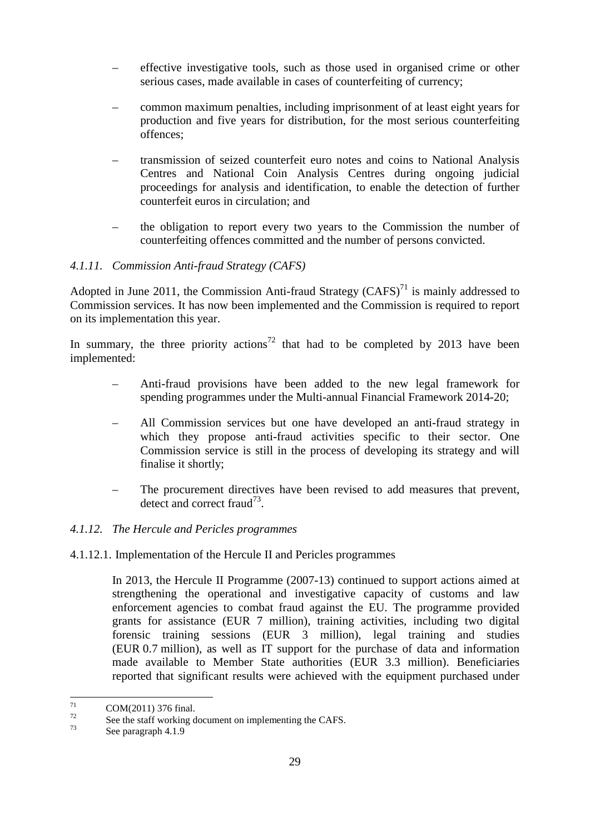- effective investigative tools, such as those used in organised crime or other serious cases, made available in cases of counterfeiting of currency;
- common maximum penalties, including imprisonment of at least eight years for production and five years for distribution, for the most serious counterfeiting offences;
- transmission of seized counterfeit euro notes and coins to National Analysis Centres and National Coin Analysis Centres during ongoing judicial proceedings for analysis and identification, to enable the detection of further counterfeit euros in circulation; and
- the obligation to report every two years to the Commission the number of counterfeiting offences committed and the number of persons convicted.

# *4.1.11. Commission Anti-fraud Strategy (CAFS)*

Adopted in June 2011, the Commission Anti-fraud Strategy (CAFS)<sup>71</sup> is mainly addressed to Commission services. It has now been implemented and the Commission is required to report on its implementation this year.

In summary, the three priority actions<sup>72</sup> that had to be completed by 2013 have been implemented:

- Anti-fraud provisions have been added to the new legal framework for spending programmes under the Multi-annual Financial Framework 2014-20;
- All Commission services but one have developed an anti-fraud strategy in which they propose anti-fraud activities specific to their sector. One Commission service is still in the process of developing its strategy and will finalise it shortly;
- The procurement directives have been revised to add measures that prevent, detect and correct fraud<sup>73</sup>.

#### *4.1.12. The Hercule and Pericles programmes*

4.1.12.1. Implementation of the Hercule II and Pericles programmes

In 2013, the Hercule II Programme (2007-13) continued to support actions aimed at strengthening the operational and investigative capacity of customs and law enforcement agencies to combat fraud against the EU. The programme provided grants for assistance (EUR 7 million), training activities, including two digital forensic training sessions (EUR 3 million), legal training and studies (EUR 0.7 million), as well as IT support for the purchase of data and information made available to Member State authorities (EUR 3.3 million). Beneficiaries reported that significant results were achieved with the equipment purchased under

<sup>71</sup>  $^{71}$  COM(2011) 376 final.

 $^{72}$  See the staff working document on implementing the CAFS.

See paragraph 4.1.9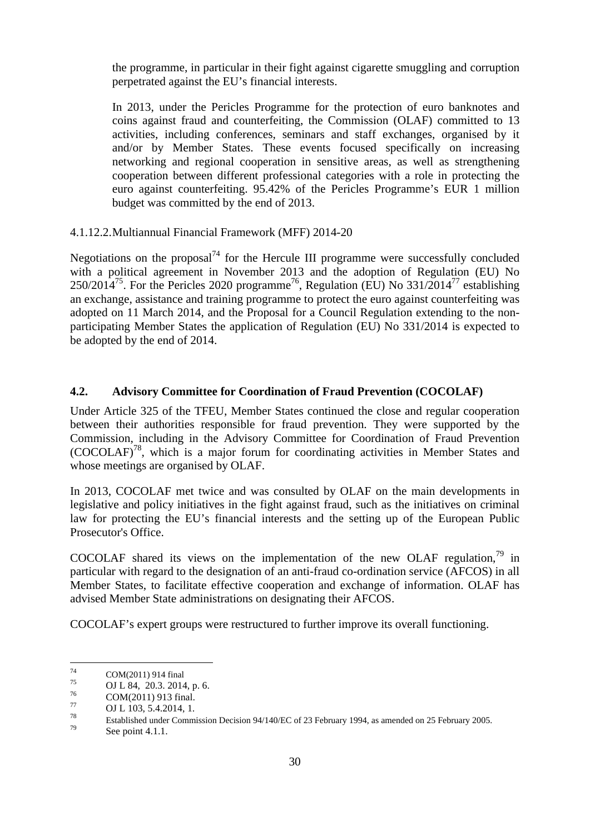the programme, in particular in their fight against cigarette smuggling and corruption perpetrated against the EU's financial interests.

In 2013, under the Pericles Programme for the protection of euro banknotes and coins against fraud and counterfeiting, the Commission (OLAF) committed to 13 activities, including conferences, seminars and staff exchanges, organised by it and/or by Member States. These events focused specifically on increasing networking and regional cooperation in sensitive areas, as well as strengthening cooperation between different professional categories with a role in protecting the euro against counterfeiting. 95.42% of the Pericles Programme's EUR 1 million budget was committed by the end of 2013.

4.1.12.2.Multiannual Financial Framework (MFF) 2014-20

Negotiations on the proposal<sup>74</sup> for the Hercule III programme were successfully concluded with a political agreement in November 2013 and the adoption of Regulation (EU) No 250/2014<sup>75</sup>. For the Pericles 2020 programme<sup>76</sup>, Regulation (EU) No 331/2014<sup>77</sup> establishing an exchange, assistance and training programme to protect the euro against counterfeiting was adopted on 11 March 2014, and the Proposal for a Council Regulation extending to the nonparticipating Member States the application of Regulation (EU) No 331/2014 is expected to be adopted by the end of 2014.

# **4.2. Advisory Committee for Coordination of Fraud Prevention (COCOLAF)**

Under Article 325 of the TFEU, Member States continued the close and regular cooperation between their authorities responsible for fraud prevention. They were supported by the Commission, including in the Advisory Committee for Coordination of Fraud Prevention (COCOLAF)<sup>78</sup> , which is a major forum for coordinating activities in Member States and whose meetings are organised by OLAF.

In 2013, COCOLAF met twice and was consulted by OLAF on the main developments in legislative and policy initiatives in the fight against fraud, such as the initiatives on criminal law for protecting the EU's financial interests and the setting up of the European Public Prosecutor's Office.

COCOLAF shared its views on the implementation of the new OLAF regulation,  $\frac{79}{10}$  in particular with regard to the designation of an anti-fraud co-ordination service (AFCOS) in all Member States, to facilitate effective cooperation and exchange of information. OLAF has advised Member State administrations on designating their AFCOS.

COCOLAF's expert groups were restructured to further improve its overall functioning.

<sup>74</sup>  $^{74}$  COM(2011) 914 final<br> $^{75}$  COM(2011) 914 final

 $^{75}$  OJ L 84, 20.3. 2014, p. 6.

 $^{76}$  COM(2011) 913 final.

 $\frac{77}{78}$  OJ L 103, 5.4.2014, 1.

<sup>&</sup>lt;sup>78</sup> Established under Commission Decision 94/140/EC of 23 February 1994, as amended on 25 February 2005.

See point 4.1.1.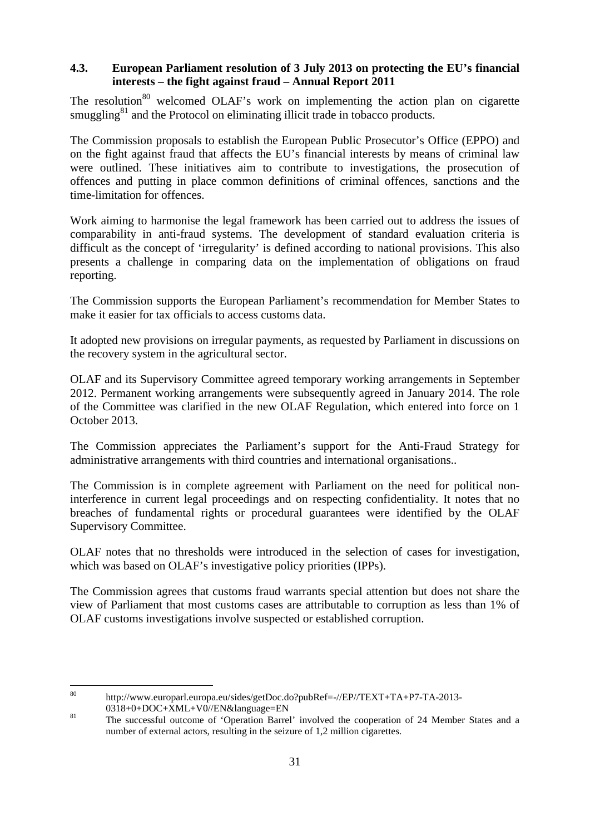# **4.3. European Parliament resolution of 3 July 2013 on protecting the EU's financial interests – the fight against fraud – Annual Report 2011**

The resolution<sup>80</sup> welcomed OLAF's work on implementing the action plan on cigarette smuggling $81$  and the Protocol on eliminating illicit trade in tobacco products.

The Commission proposals to establish the European Public Prosecutor's Office (EPPO) and on the fight against fraud that affects the EU's financial interests by means of criminal law were outlined. These initiatives aim to contribute to investigations, the prosecution of offences and putting in place common definitions of criminal offences, sanctions and the time-limitation for offences.

Work aiming to harmonise the legal framework has been carried out to address the issues of comparability in anti-fraud systems. The development of standard evaluation criteria is difficult as the concept of 'irregularity' is defined according to national provisions. This also presents a challenge in comparing data on the implementation of obligations on fraud reporting.

The Commission supports the European Parliament's recommendation for Member States to make it easier for tax officials to access customs data.

It adopted new provisions on irregular payments, as requested by Parliament in discussions on the recovery system in the agricultural sector.

OLAF and its Supervisory Committee agreed temporary working arrangements in September 2012. Permanent working arrangements were subsequently agreed in January 2014. The role of the Committee was clarified in the new OLAF Regulation, which entered into force on 1 October 2013.

The Commission appreciates the Parliament's support for the Anti-Fraud Strategy for administrative arrangements with third countries and international organisations..

The Commission is in complete agreement with Parliament on the need for political noninterference in current legal proceedings and on respecting confidentiality. It notes that no breaches of fundamental rights or procedural guarantees were identified by the OLAF Supervisory Committee.

OLAF notes that no thresholds were introduced in the selection of cases for investigation, which was based on OLAF's investigative policy priorities (IPPs).

The Commission agrees that customs fraud warrants special attention but does not share the view of Parliament that most customs cases are attributable to corruption as less than 1% of OLAF customs investigations involve suspected or established corruption.

<sup>80</sup> http://www.europarl.europa.eu/sides/getDoc.do?pubRef=-//EP//TEXT+TA+P7-TA-2013-0318+0+DOC+XML+V0//EN&language=EN

<sup>&</sup>lt;sup>81</sup> The successful outcome of 'Operation Barrel' involved the cooperation of 24 Member States and a number of external actors, resulting in the seizure of 1,2 million cigarettes.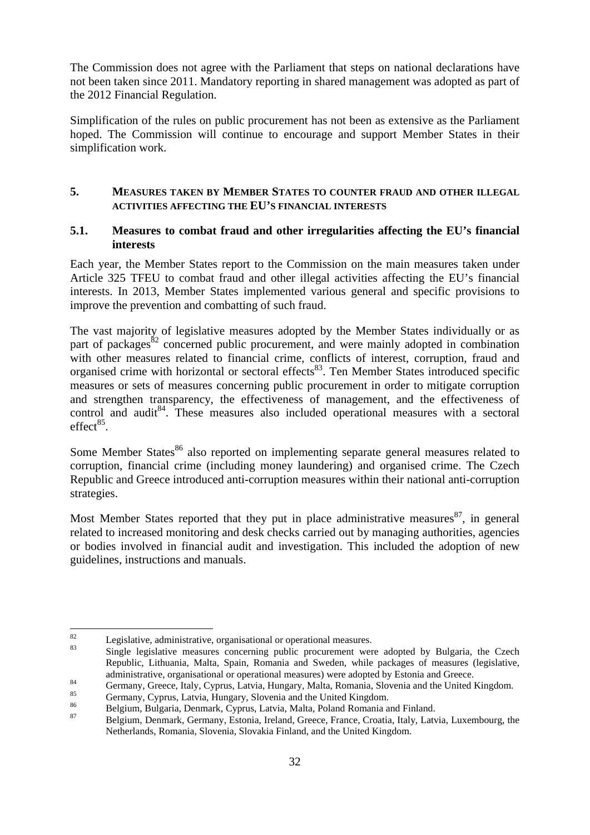The Commission does not agree with the Parliament that steps on national declarations have not been taken since 2011. Mandatory reporting in shared management was adopted as part of the 2012 Financial Regulation.

Simplification of the rules on public procurement has not been as extensive as the Parliament hoped. The Commission will continue to encourage and support Member States in their simplification work.

# **5. MEASURES TAKEN BY MEMBER STATES TO COUNTER FRAUD AND OTHER ILLEGAL ACTIVITIES AFFECTING THE EU'S FINANCIAL INTERESTS**

# **5.1. Measures to combat fraud and other irregularities affecting the EU's financial interests**

Each year, the Member States report to the Commission on the main measures taken under Article 325 TFEU to combat fraud and other illegal activities affecting the EU's financial interests. In 2013, Member States implemented various general and specific provisions to improve the prevention and combatting of such fraud.

The vast majority of legislative measures adopted by the Member States individually or as part of packages<sup>82</sup> concerned public procurement, and were mainly adopted in combination with other measures related to financial crime, conflicts of interest, corruption, fraud and organised crime with horizontal or sectoral effects<sup>83</sup>. Ten Member States introduced specific measures or sets of measures concerning public procurement in order to mitigate corruption and strengthen transparency, the effectiveness of management, and the effectiveness of control and audit<sup>84</sup>. These measures also included operational measures with a sectoral  $effect^{85}$ .

Some Member States<sup>86</sup> also reported on implementing separate general measures related to corruption, financial crime (including money laundering) and organised crime. The Czech Republic and Greece introduced anti-corruption measures within their national anti-corruption strategies.

Most Member States reported that they put in place administrative measures  $87$ , in general related to increased monitoring and desk checks carried out by managing authorities, agencies or bodies involved in financial audit and investigation. This included the adoption of new guidelines, instructions and manuals.

<sup>82</sup>  $\frac{82}{83}$  Legislative, administrative, organisational or operational measures.

Single legislative measures concerning public procurement were adopted by Bulgaria, the Czech Republic, Lithuania, Malta, Spain, Romania and Sweden, while packages of measures (legislative, administrative, organisational or operational measures) were adopted by Estonia and Greece.

<sup>84</sup> Germany, Greece, Italy, Cyprus, Latvia, Hungary, Malta, Romania, Slovenia and the United Kingdom.

 $^{85}$  Germany, Cyprus, Latvia, Hungary, Slovenia and the United Kingdom.

<sup>&</sup>lt;sup>86</sup> Belgium, Bulgaria, Denmark, Cyprus, Latvia, Malta, Poland Romania and Finland.

<sup>87</sup> Belgium, Denmark, Germany, Estonia, Ireland, Greece, France, Croatia, Italy, Latvia, Luxembourg, the Netherlands, Romania, Slovenia, Slovakia Finland, and the United Kingdom.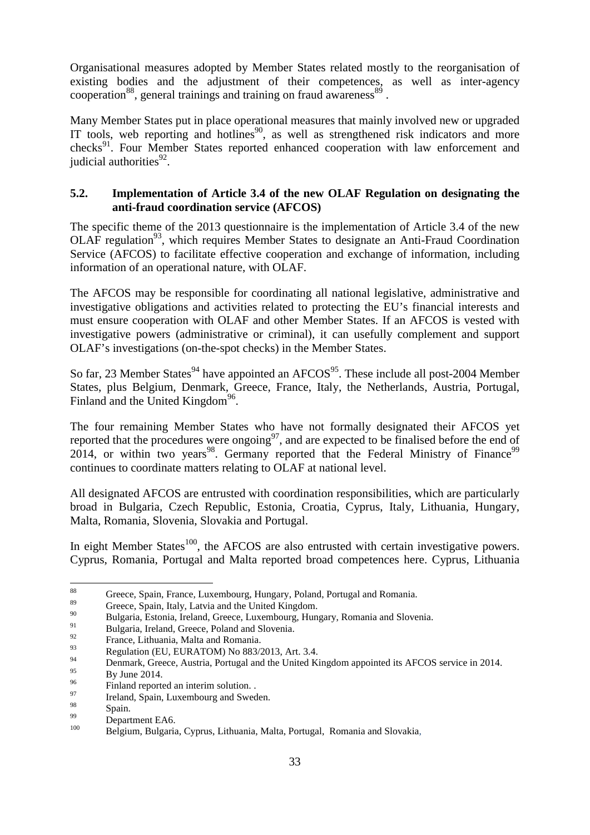Organisational measures adopted by Member States related mostly to the reorganisation of existing bodies and the adjustment of their competences, as well as inter-agency cooperation<sup>88</sup>, general trainings and training on fraud awareness<sup>89</sup>.

Many Member States put in place operational measures that mainly involved new or upgraded IT tools, web reporting and hotlines<sup>90</sup>, as well as strengthened risk indicators and more checks<sup>91</sup>. Four Member States reported enhanced cooperation with law enforcement and judicial authorities<sup>92</sup>.

# **5.2. Implementation of Article 3.4 of the new OLAF Regulation on designating the anti-fraud coordination service (AFCOS)**

The specific theme of the 2013 questionnaire is the implementation of Article 3.4 of the new OLAF regulation<sup>93</sup>, which requires Member States to designate an Anti-Fraud Coordination Service (AFCOS) to facilitate effective cooperation and exchange of information, including information of an operational nature, with OLAF.

The AFCOS may be responsible for coordinating all national legislative, administrative and investigative obligations and activities related to protecting the EU's financial interests and must ensure cooperation with OLAF and other Member States. If an AFCOS is vested with investigative powers (administrative or criminal), it can usefully complement and support OLAF's investigations (on-the-spot checks) in the Member States.

So far, 23 Member States<sup>94</sup> have appointed an  $AFCOS<sup>95</sup>$ . These include all post-2004 Member States, plus Belgium, Denmark, Greece, France, Italy, the Netherlands, Austria, Portugal, Finland and the United Kingdom<sup>96</sup>.

The four remaining Member States who have not formally designated their AFCOS yet reported that the procedures were ongoing<sup>97</sup>, and are expected to be finalised before the end of  $2014$ , or within two years<sup>98</sup>. Germany reported that the Federal Ministry of Finance<sup>99</sup> continues to coordinate matters relating to OLAF at national level.

All designated AFCOS are entrusted with coordination responsibilities, which are particularly broad in Bulgaria, Czech Republic, Estonia, Croatia, Cyprus, Italy, Lithuania, Hungary, Malta, Romania, Slovenia, Slovakia and Portugal.

In eight Member States<sup>100</sup>, the AFCOS are also entrusted with certain investigative powers. Cyprus, Romania, Portugal and Malta reported broad competences here. Cyprus, Lithuania

<sup>88</sup> <sup>88</sup> Greece, Spain, France, Luxembourg, Hungary, Poland, Portugal and Romania.

<sup>&</sup>lt;sup>89</sup> Greece, Spain, Italy, Latvia and the United Kingdom.

<sup>&</sup>lt;sup>90</sup> Bulgaria, Estonia, Ireland, Greece, Luxembourg, Hungary, Romania and Slovenia.<br>Pulsaria, Ireland, Greece, Paland and Slovenia.

<sup>&</sup>lt;sup>91</sup><br>Bulgaria, Ireland, Greece, Poland and Slovenia.<br> $\frac{92}{2}$ 

 $^{92}$  France, Lithuania, Malta and Romania.

 $^{93}$  Regulation (EU, EURATOM) No 883/2013, Art. 3.4.

<sup>&</sup>lt;sup>94</sup> Denmark, Greece, Austria, Portugal and the United Kingdom appointed its AFCOS service in 2014.

 $^{95}$  By June 2014.

 $^{96}$  Finland reported an interim solution.

 $\frac{97}{98}$  Ireland, Spain, Luxembourg and Sweden.

 $\frac{98}{99}$  Spain.

 $^{99}$  Department EA6.

<sup>100</sup> Belgium, Bulgaria, Cyprus, Lithuania, Malta, Portugal, Romania and Slovakia,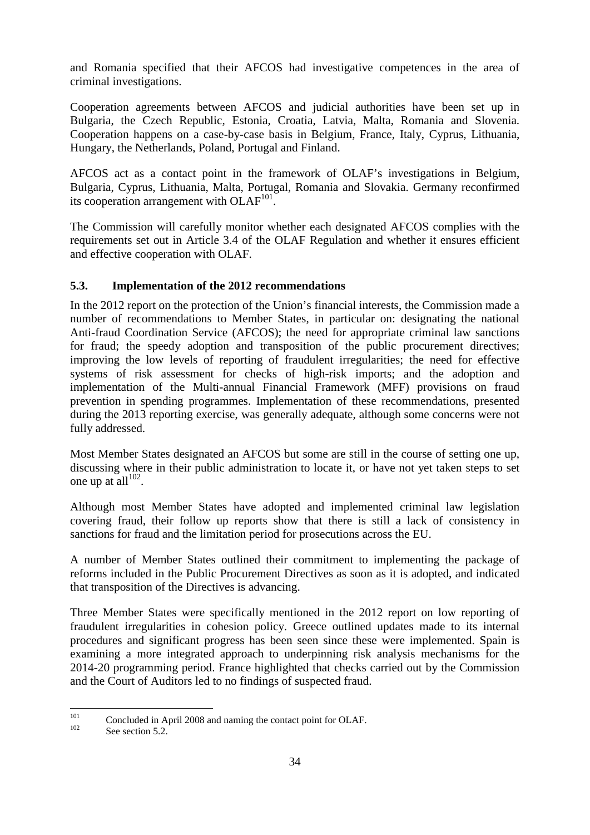and Romania specified that their AFCOS had investigative competences in the area of criminal investigations.

Cooperation agreements between AFCOS and judicial authorities have been set up in Bulgaria, the Czech Republic, Estonia, Croatia, Latvia, Malta, Romania and Slovenia. Cooperation happens on a case-by-case basis in Belgium, France, Italy, Cyprus, Lithuania, Hungary, the Netherlands, Poland, Portugal and Finland.

AFCOS act as a contact point in the framework of OLAF's investigations in Belgium, Bulgaria, Cyprus, Lithuania, Malta, Portugal, Romania and Slovakia. Germany reconfirmed its cooperation arrangement with  $OLAF<sup>101</sup>$ .

The Commission will carefully monitor whether each designated AFCOS complies with the requirements set out in Article 3.4 of the OLAF Regulation and whether it ensures efficient and effective cooperation with OLAF.

# **5.3. Implementation of the 2012 recommendations**

In the 2012 report on the protection of the Union's financial interests, the Commission made a number of recommendations to Member States, in particular on: designating the national Anti-fraud Coordination Service (AFCOS); the need for appropriate criminal law sanctions for fraud; the speedy adoption and transposition of the public procurement directives; improving the low levels of reporting of fraudulent irregularities; the need for effective systems of risk assessment for checks of high-risk imports; and the adoption and implementation of the Multi-annual Financial Framework (MFF) provisions on fraud prevention in spending programmes. Implementation of these recommendations, presented during the 2013 reporting exercise, was generally adequate, although some concerns were not fully addressed.

Most Member States designated an AFCOS but some are still in the course of setting one up, discussing where in their public administration to locate it, or have not yet taken steps to set one up at all $102$ .

Although most Member States have adopted and implemented criminal law legislation covering fraud, their follow up reports show that there is still a lack of consistency in sanctions for fraud and the limitation period for prosecutions across the EU.

A number of Member States outlined their commitment to implementing the package of reforms included in the Public Procurement Directives as soon as it is adopted, and indicated that transposition of the Directives is advancing.

Three Member States were specifically mentioned in the 2012 report on low reporting of fraudulent irregularities in cohesion policy. Greece outlined updates made to its internal procedures and significant progress has been seen since these were implemented. Spain is examining a more integrated approach to underpinning risk analysis mechanisms for the 2014-20 programming period. France highlighted that checks carried out by the Commission and the Court of Auditors led to no findings of suspected fraud.

<sup>101</sup> <sup>101</sup> Concluded in April 2008 and naming the contact point for OLAF.

See section 5.2.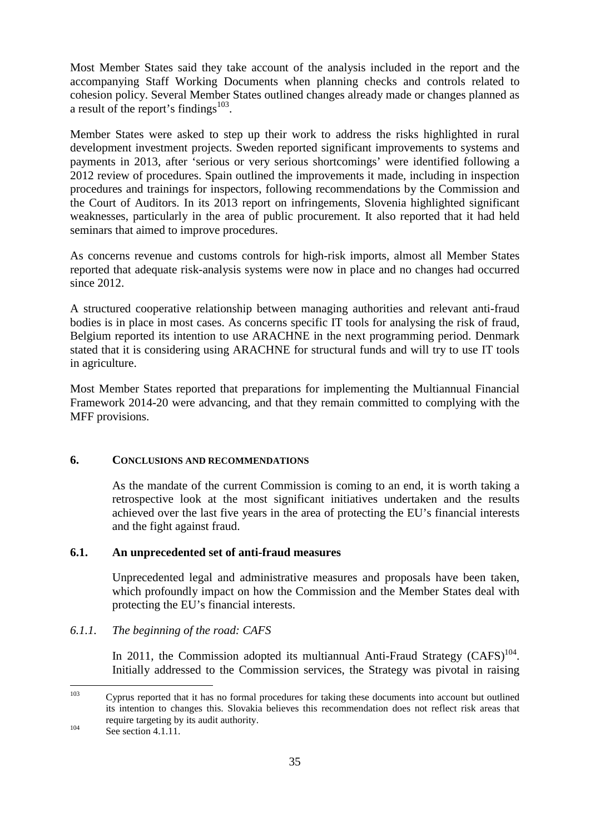Most Member States said they take account of the analysis included in the report and the accompanying Staff Working Documents when planning checks and controls related to cohesion policy. Several Member States outlined changes already made or changes planned as a result of the report's findings $103$ .

Member States were asked to step up their work to address the risks highlighted in rural development investment projects. Sweden reported significant improvements to systems and payments in 2013, after 'serious or very serious shortcomings' were identified following a 2012 review of procedures. Spain outlined the improvements it made, including in inspection procedures and trainings for inspectors, following recommendations by the Commission and the Court of Auditors. In its 2013 report on infringements, Slovenia highlighted significant weaknesses, particularly in the area of public procurement. It also reported that it had held seminars that aimed to improve procedures.

As concerns revenue and customs controls for high-risk imports, almost all Member States reported that adequate risk-analysis systems were now in place and no changes had occurred since 2012.

A structured cooperative relationship between managing authorities and relevant anti-fraud bodies is in place in most cases. As concerns specific IT tools for analysing the risk of fraud, Belgium reported its intention to use ARACHNE in the next programming period. Denmark stated that it is considering using ARACHNE for structural funds and will try to use IT tools in agriculture.

Most Member States reported that preparations for implementing the Multiannual Financial Framework 2014-20 were advancing, and that they remain committed to complying with the MFF provisions.

#### **6. CONCLUSIONS AND RECOMMENDATIONS**

As the mandate of the current Commission is coming to an end, it is worth taking a retrospective look at the most significant initiatives undertaken and the results achieved over the last five years in the area of protecting the EU's financial interests and the fight against fraud.

#### **6.1. An unprecedented set of anti-fraud measures**

Unprecedented legal and administrative measures and proposals have been taken, which profoundly impact on how the Commission and the Member States deal with protecting the EU's financial interests.

#### *6.1.1. The beginning of the road: CAFS*

In 2011, the Commission adopted its multiannual Anti-Fraud Strategy  $(CAFS)^{104}$ . Initially addressed to the Commission services, the Strategy was pivotal in raising

<sup>103</sup> <sup>103</sup> Cyprus reported that it has no formal procedures for taking these documents into account but outlined its intention to changes this. Slovakia believes this recommendation does not reflect risk areas that require targeting by its audit authority.

 $104$  See section 4.1.11.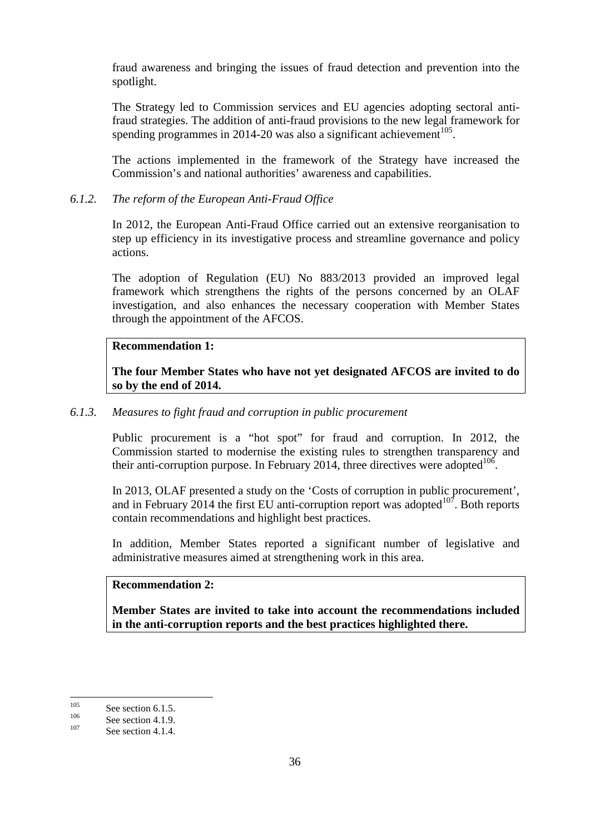fraud awareness and bringing the issues of fraud detection and prevention into the spotlight.

The Strategy led to Commission services and EU agencies adopting sectoral antifraud strategies. The addition of anti-fraud provisions to the new legal framework for spending programmes in 2014-20 was also a significant achievement<sup>105</sup>.

The actions implemented in the framework of the Strategy have increased the Commission's and national authorities' awareness and capabilities.

# *6.1.2. The reform of the European Anti-Fraud Office*

In 2012, the European Anti-Fraud Office carried out an extensive reorganisation to step up efficiency in its investigative process and streamline governance and policy actions.

The adoption of Regulation (EU) No 883/2013 provided an improved legal framework which strengthens the rights of the persons concerned by an OLAF investigation, and also enhances the necessary cooperation with Member States through the appointment of the AFCOS.

# **Recommendation 1:**

**The four Member States who have not yet designated AFCOS are invited to do so by the end of 2014.**

# *6.1.3. Measures to fight fraud and corruption in public procurement*

Public procurement is a "hot spot" for fraud and corruption. In 2012, the Commission started to modernise the existing rules to strengthen transparency and their anti-corruption purpose. In February 2014, three directives were adopted  $106$ .

In 2013, OLAF presented a study on the 'Costs of corruption in public procurement', and in February 2014 the first EU anti-corruption report was adopted $10^7$ . Both reports contain recommendations and highlight best practices.

In addition, Member States reported a significant number of legislative and administrative measures aimed at strengthening work in this area.

# **Recommendation 2:**

**Member States are invited to take into account the recommendations included in the anti-corruption reports and the best practices highlighted there.**

 $105$  $\frac{105}{106}$  See section 6.1.5.

 $\frac{106}{107}$  See section 4.1.9.

See section 4.1.4.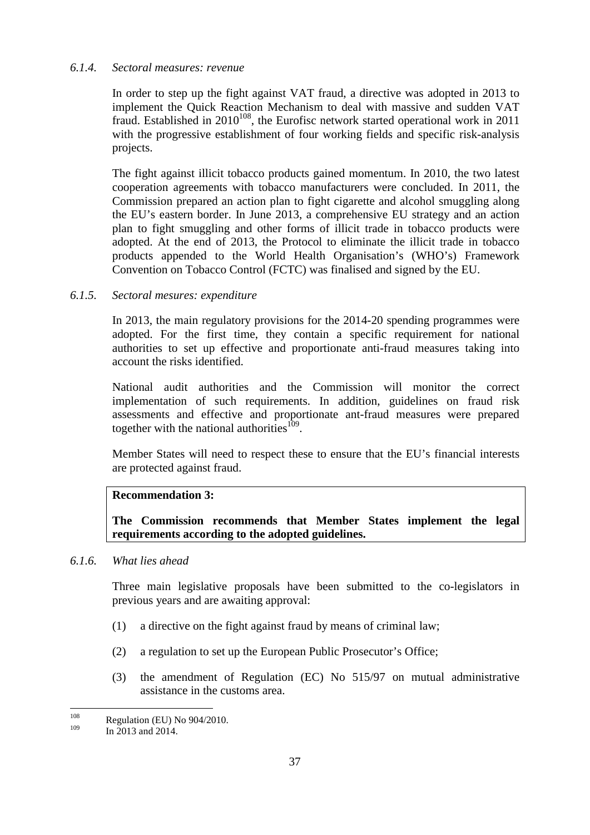#### *6.1.4. Sectoral measures: revenue*

In order to step up the fight against VAT fraud, a directive was adopted in 2013 to implement the Quick Reaction Mechanism to deal with massive and sudden VAT fraud. Established in  $2010^{108}$ , the Eurofisc network started operational work in 2011 with the progressive establishment of four working fields and specific risk-analysis projects.

The fight against illicit tobacco products gained momentum. In 2010, the two latest cooperation agreements with tobacco manufacturers were concluded. In 2011, the Commission prepared an action plan to fight cigarette and alcohol smuggling along the EU's eastern border. In June 2013, a comprehensive EU strategy and an action plan to fight smuggling and other forms of illicit trade in tobacco products were adopted. At the end of 2013, the Protocol to eliminate the illicit trade in tobacco products appended to the World Health Organisation's (WHO's) Framework Convention on Tobacco Control (FCTC) was finalised and signed by the EU.

#### *6.1.5. Sectoral mesures: expenditure*

In 2013, the main regulatory provisions for the 2014-20 spending programmes were adopted. For the first time, they contain a specific requirement for national authorities to set up effective and proportionate anti-fraud measures taking into account the risks identified.

National audit authorities and the Commission will monitor the correct implementation of such requirements. In addition, guidelines on fraud risk assessments and effective and proportionate ant-fraud measures were prepared together with the national authorities  $109$ .

Member States will need to respect these to ensure that the EU's financial interests are protected against fraud.

#### **Recommendation 3:**

**The Commission recommends that Member States implement the legal requirements according to the adopted guidelines.**

# *6.1.6. What lies ahead*

Three main legislative proposals have been submitted to the co-legislators in previous years and are awaiting approval:

- (1) a directive on the fight against fraud by means of criminal law;
- (2) a regulation to set up the European Public Prosecutor's Office;
- (3) the amendment of Regulation (EC) No 515/97 on mutual administrative assistance in the customs area.

 $108$  $\frac{108}{109}$  Regulation (EU) No 904/2010.

In 2013 and 2014.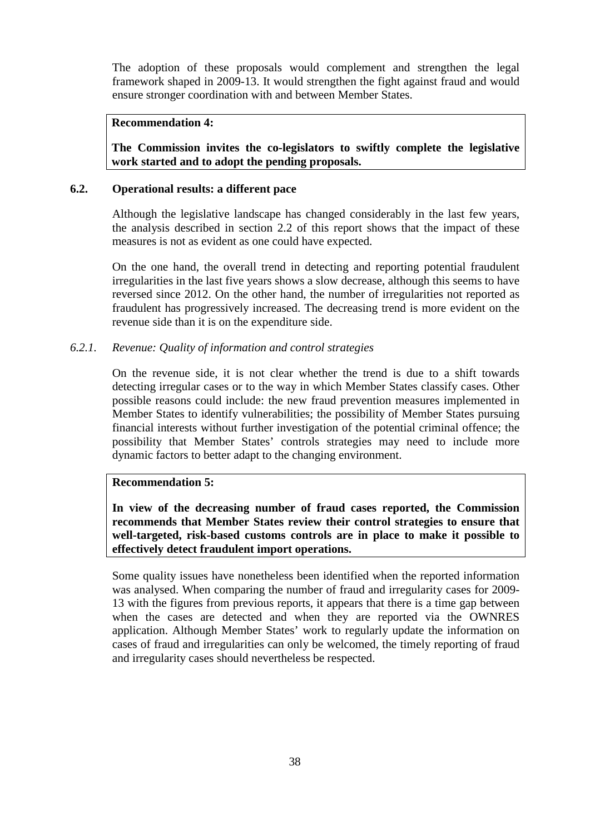The adoption of these proposals would complement and strengthen the legal framework shaped in 2009-13. It would strengthen the fight against fraud and would ensure stronger coordination with and between Member States.

# **Recommendation 4:**

**The Commission invites the co-legislators to swiftly complete the legislative work started and to adopt the pending proposals.**

#### **6.2. Operational results: a different pace**

Although the legislative landscape has changed considerably in the last few years, the analysis described in section 2.2 of this report shows that the impact of these measures is not as evident as one could have expected.

On the one hand, the overall trend in detecting and reporting potential fraudulent irregularities in the last five years shows a slow decrease, although this seems to have reversed since 2012. On the other hand, the number of irregularities not reported as fraudulent has progressively increased. The decreasing trend is more evident on the revenue side than it is on the expenditure side.

#### *6.2.1. Revenue: Quality of information and control strategies*

On the revenue side, it is not clear whether the trend is due to a shift towards detecting irregular cases or to the way in which Member States classify cases. Other possible reasons could include: the new fraud prevention measures implemented in Member States to identify vulnerabilities; the possibility of Member States pursuing financial interests without further investigation of the potential criminal offence; the possibility that Member States' controls strategies may need to include more dynamic factors to better adapt to the changing environment.

#### **Recommendation 5:**

**In view of the decreasing number of fraud cases reported, the Commission recommends that Member States review their control strategies to ensure that well-targeted, risk-based customs controls are in place to make it possible to effectively detect fraudulent import operations.** 

Some quality issues have nonetheless been identified when the reported information was analysed. When comparing the number of fraud and irregularity cases for 2009- 13 with the figures from previous reports, it appears that there is a time gap between when the cases are detected and when they are reported via the OWNRES application. Although Member States' work to regularly update the information on cases of fraud and irregularities can only be welcomed, the timely reporting of fraud and irregularity cases should nevertheless be respected.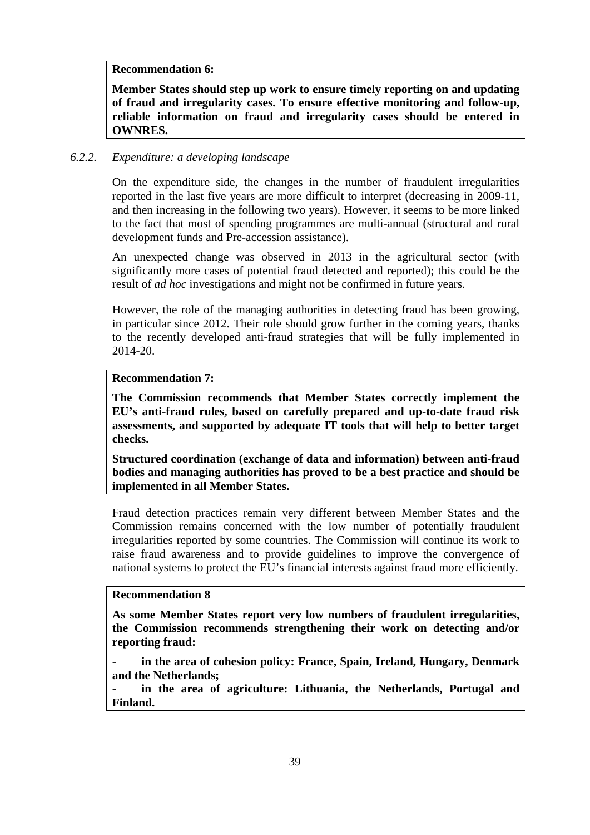**Recommendation 6:**

**Member States should step up work to ensure timely reporting on and updating of fraud and irregularity cases. To ensure effective monitoring and follow-up, reliable information on fraud and irregularity cases should be entered in OWNRES.**

#### *6.2.2. Expenditure: a developing landscape*

On the expenditure side, the changes in the number of fraudulent irregularities reported in the last five years are more difficult to interpret (decreasing in 2009-11, and then increasing in the following two years). However, it seems to be more linked to the fact that most of spending programmes are multi-annual (structural and rural development funds and Pre-accession assistance).

An unexpected change was observed in 2013 in the agricultural sector (with significantly more cases of potential fraud detected and reported); this could be the result of *ad hoc* investigations and might not be confirmed in future years.

However, the role of the managing authorities in detecting fraud has been growing, in particular since 2012. Their role should grow further in the coming years, thanks to the recently developed anti-fraud strategies that will be fully implemented in 2014-20.

## **Recommendation 7:**

**The Commission recommends that Member States correctly implement the EU's anti-fraud rules, based on carefully prepared and up-to-date fraud risk assessments, and supported by adequate IT tools that will help to better target checks.**

**Structured coordination (exchange of data and information) between anti-fraud bodies and managing authorities has proved to be a best practice and should be implemented in all Member States.**

Fraud detection practices remain very different between Member States and the Commission remains concerned with the low number of potentially fraudulent irregularities reported by some countries. The Commission will continue its work to raise fraud awareness and to provide guidelines to improve the convergence of national systems to protect the EU's financial interests against fraud more efficiently.

# **Recommendation 8**

**As some Member States report very low numbers of fraudulent irregularities, the Commission recommends strengthening their work on detecting and/or reporting fraud:**

**- in the area of cohesion policy: France, Spain, Ireland, Hungary, Denmark and the Netherlands;**

**- in the area of agriculture: Lithuania, the Netherlands, Portugal and Finland.**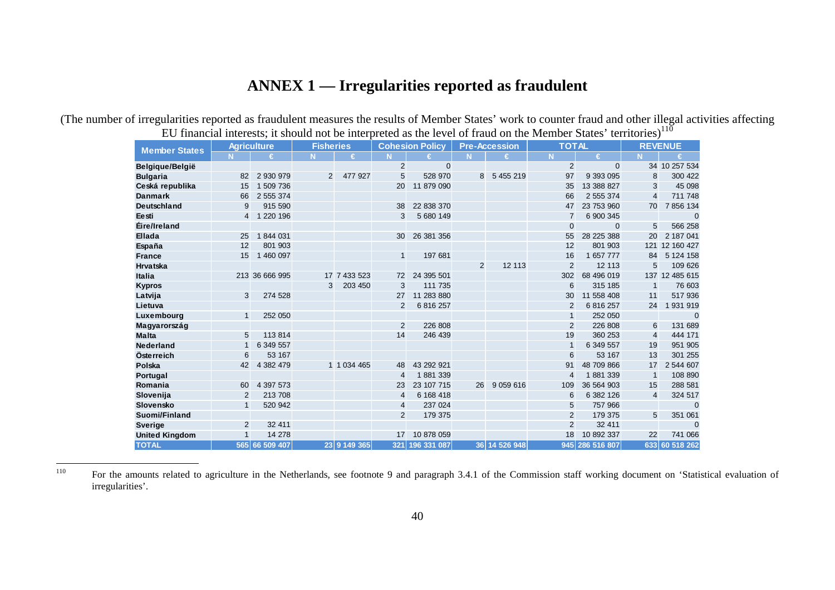# **ANNEX 1 — Irregularities reported as fraudulent**

(The number of irregularities reported as fraudulent measures the results of Member States' work to counter fraud and other illegal activities affecting EU financial interests; it should not be interpreted as the level of fraud on the Member States' territories) $110$ 

| <b>Member States</b>  |                | <b>Agriculture</b> | <b>Fisheries</b> |               |                | <b>Cohesion Policy</b> |    | <b>Pre-Accession</b> | <b>TOTAL</b>   |              |                | <b>REVENUE</b> |
|-----------------------|----------------|--------------------|------------------|---------------|----------------|------------------------|----|----------------------|----------------|--------------|----------------|----------------|
|                       | N.             | €                  |                  | €             |                | €                      | N  | €                    | N              | €            | <b>N</b>       | €              |
| Belgique/België       |                |                    |                  |               | $\overline{2}$ | $\mathbf{0}$           |    |                      | 2              | $\mathbf{0}$ |                | 34 10 257 534  |
| <b>Bulgaria</b>       | 82             | 2 930 979          | 2                | 477 927       | 5              | 528 970                | 8  | 5 455 219            | 97             | 9 393 095    | 8              | 300 422        |
| Ceská republika       | 15             | 1 509 736          |                  |               | 20             | 11 879 090             |    |                      | 35             | 13 388 827   | 3              | 45 098         |
| <b>Danmark</b>        | 66             | 2 555 374          |                  |               |                |                        |    |                      | 66             | 2 555 374    | $\overline{4}$ | 711 748        |
| <b>Deutschland</b>    | 9              | 915 590            |                  |               | 38             | 22 838 370             |    |                      | 47             | 23 753 960   | 70             | 7 856 134      |
| Eesti                 | $\overline{4}$ | 1 220 196          |                  |               | 3              | 5 680 149              |    |                      | $\overline{7}$ | 6 900 345    |                | $\Omega$       |
| Éire/Ireland          |                |                    |                  |               |                |                        |    |                      | $\Omega$       | $\Omega$     | 5              | 566 258        |
| Ellada                | 25             | 1844031            |                  |               | 30             | 26 381 356             |    |                      | 55             | 28 225 388   | 20             | 2 187 041      |
| España                | 12             | 801 903            |                  |               |                |                        |    |                      | 12             | 801 903      | 121            | 12 160 427     |
| <b>France</b>         | 15             | 1 460 097          |                  |               | $\mathbf{1}$   | 197 681                |    |                      | 16             | 1 657 777    | 84             | 5 124 158      |
| <b>Hrvatska</b>       |                |                    |                  |               |                |                        | 2  | 12 113               | 2              | 12 113       | 5              | 109 626        |
| <b>Italia</b>         |                | 213 36 666 995     |                  | 17 7 433 523  | 72             | 24 395 501             |    |                      | 302            | 68 496 019   |                | 137 12 485 615 |
| <b>Kypros</b>         |                |                    | 3                | 203 450       | 3              | 111 735                |    |                      | 6              | 315 185      | $\mathbf{1}$   | 76 603         |
| Latvija               | 3              | 274 528            |                  |               | 27             | 11 283 880             |    |                      | 30             | 11 558 408   | 11             | 517 936        |
| Lietuva               |                |                    |                  |               | $\overline{2}$ | 6 816 257              |    |                      | $\overline{2}$ | 6 816 257    | 24             | 931 919        |
| Luxembourg            | $\mathbf{1}$   | 252 050            |                  |               |                |                        |    |                      | $\mathbf{1}$   | 252 050      |                | $\Omega$       |
| Magyarország          |                |                    |                  |               | $\overline{2}$ | 226 808                |    |                      | 2              | 226 808      | 6              | 131 689        |
| <b>Malta</b>          | 5              | 113 814            |                  |               | 14             | 246 439                |    |                      | 19             | 360 253      | $\overline{4}$ | 444 171        |
| <b>Nederland</b>      | $\mathbf{1}$   | 6 349 557          |                  |               |                |                        |    |                      |                | 6 349 557    | 19             | 951 905        |
| Österreich            | 6              | 53 167             |                  |               |                |                        |    |                      | 6              | 53 167       | 13             | 301 255        |
| Polska                | 42             | 4 382 479          |                  | 1 1 0 34 4 65 | 48             | 43 292 921             |    |                      | 91             | 48 709 866   | 17             | 2 544 607      |
| Portugal              |                |                    |                  |               | 4              | 1881339                |    |                      | 4              | 1881339      | $\mathbf{1}$   | 108 890        |
| Romania               | 60             | 4 397 573          |                  |               | 23             | 23 107 715             | 26 | 9 0 59 6 16          | 109            | 36 564 903   | 15             | 288 581        |
| Slovenija             | 2              | 213 708            |                  |               | $\overline{4}$ | 6 168 418              |    |                      | 6              | 6 382 126    | $\overline{4}$ | 324 517        |
| Slovensko             | 1              | 520 942            |                  |               | 4              | 237 024                |    |                      | 5              | 757 966      |                | $\mathbf{0}$   |
| Suomi/Finland         |                |                    |                  |               | $\overline{2}$ | 179 375                |    |                      | 2              | 179 375      | 5              | 351 061        |
| <b>Sverige</b>        | 2              | 32 411             |                  |               |                |                        |    |                      | $\overline{2}$ | 32 411       |                | $\Omega$       |
| <b>United Kingdom</b> |                | 14 278             |                  |               | 17             | 10 878 059             |    |                      | 18             | 10 892 337   | 22             | 741 066        |
| <b>TOTAL</b>          |                | 565 66 509 407     |                  | 23 9 149 365  | 321            | 196 331 087            |    | 36 14 526 948        | 945            | 286 516 807  | 633            | 60 518 262     |

110

For the amounts related to agriculture in the Netherlands, see footnote 9 and paragraph 3.4.1 of the Commission staff working document on 'Statistical evaluation of irregularities'.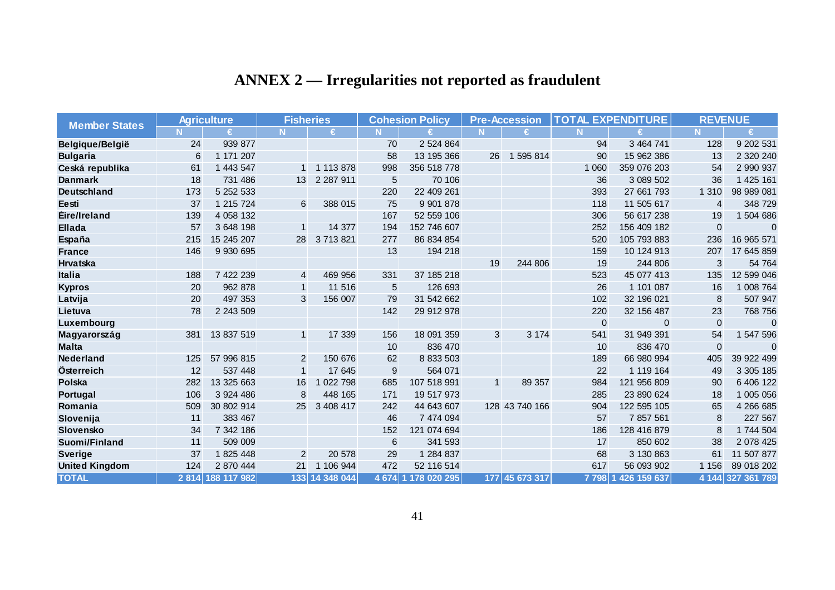| <b>ANNEX 2</b> — Irregularities not reported as fraudulent |  |  |
|------------------------------------------------------------|--|--|
|                                                            |  |  |

| <b>Member States</b>  |      | <b>Agriculture</b> | <b>Fisheries</b> |                |                  | <b>Cohesion Policy</b> |             | <b>Pre-Accession</b> |         | <b>TOTAL EXPENDITURE</b> | <b>REVENUE</b> |                |
|-----------------------|------|--------------------|------------------|----------------|------------------|------------------------|-------------|----------------------|---------|--------------------------|----------------|----------------|
|                       |      | €                  |                  | €              | N.               | €                      |             | €                    | N       | €                        | N.             | €              |
| Belgique/België       | 24   | 939 877            |                  |                | 70               | 2 524 864              |             |                      | 94      | 3 464 741                | 128            | 9 202 531      |
| <b>Bulgaria</b>       | 6    | 1 171 207          |                  |                | 58               | 13 195 366             | 26          | 1 595 814            | 90      | 15 962 386               | 13             | 2 320 240      |
| Ceská republika       | 61   | 1 443 547          |                  | 1 113 878      | 998              | 356 518 778            |             |                      | 1 0 6 0 | 359 076 203              | 54             | 2 990 937      |
| <b>Danmark</b>        | 18   | 731 486            | 13 <sup>1</sup>  | 2 2 8 7 9 1 1  | 5                | 70 106                 |             |                      | 36      | 3 089 502                | 36             | 1 425 161      |
| Deutschland           | 173  | 5 252 533          |                  |                | 220              | 22 409 261             |             |                      | 393     | 27 661 793               | 1 3 1 0        | 98 989 081     |
| Eesti                 | 37   | 1 215 724          | 6                | 388 015        | 75               | 9 901 878              |             |                      | 118     | 11 505 617               | $\overline{4}$ | 348 729        |
| Éire/Ireland          | 139  | 4 0 58 1 32        |                  |                | 167              | 52 559 106             |             |                      | 306     | 56 617 238               | 19             | 1 504 686      |
| <b>Ellada</b>         | 57   | 3 648 198          | $\mathbf{1}$     | 14 377         | 194              | 152 746 607            |             |                      | 252     | 156 409 182              | $\mathbf{0}$   | $\overline{0}$ |
| España                | 215  | 15 245 207         | 28               | 3 713 821      | 277              | 86 834 854             |             |                      | 520     | 105 793 883              | 236            | 16 965 571     |
| <b>France</b>         | 146  | 9 930 695          |                  |                | 13               | 194 218                |             |                      | 159     | 10 124 913               | 207            | 17 645 859     |
| Hrvatska              |      |                    |                  |                |                  |                        | 19          | 244 806              | 19      | 244 806                  | 3              | 54 764         |
| <b>Italia</b>         | 188  | 7 422 239          | 4                | 469 956        | 331              | 37 185 218             |             |                      | 523     | 45 077 413               | 135            | 12 599 046     |
| <b>Kypros</b>         | 20   | 962 878            | $\mathbf{1}$     | 11 516         | 5                | 126 693                |             |                      | 26      | 1 101 087                | 16             | 1 008 764      |
| Latvija               | 20   | 497 353            | 3                | 156 007        | 79               | 31 542 662             |             |                      | 102     | 32 196 021               | 8              | 507 947        |
| Lietuva               | 78   | 2 243 509          |                  |                | 142              | 29 912 978             |             |                      | 220     | 32 156 487               | 23             | 768 756        |
| Luxembourg            |      |                    |                  |                |                  |                        |             |                      | 0       | $\mathbf 0$              | $\Omega$       | $\overline{0}$ |
| Magyarország          | 381  | 13 837 519         | $\mathbf{1}$     | 17 339         | 156              | 18 091 359             | 3           | 3 1 7 4              | 541     | 31 949 391               | 54             | 1 547 596      |
| <b>Malta</b>          |      |                    |                  |                | 10               | 836 470                |             |                      | 10      | 836 470                  | $\mathbf{0}$   | $\Omega$       |
| <b>Nederland</b>      | 125  | 57 996 815         | 2                | 150 676        | 62               | 8 833 503              |             |                      | 189     | 66 980 994               | 405            | 39 922 499     |
| Österreich            | 12   | 537 448            | $\mathbf{1}$     | 17 645         | $\boldsymbol{9}$ | 564 071                |             |                      | 22      | 1 119 164                | 49             | 3 305 185      |
| Polska                | 282  | 13 325 663         | 16               | 1 022 798      | 685              | 107 518 991            | $\mathbf 1$ | 89 357               | 984     | 121 956 809              | 90             | 6 406 122      |
| Portugal              | 106  | 3 924 486          | 8                | 448 165        | 171              | 19 517 973             |             |                      | 285     | 23 890 624               | 18             | 1 005 056      |
| Romania               | 509  | 30 802 914         | 25               | 3 408 417      | 242              | 44 643 607             |             | 128 43 740 166       | 904     | 122 595 105              | 65             | 4 266 685      |
| Slovenija             | 11   | 383 467            |                  |                | 46               | 7 474 094              |             |                      | 57      | 7 857 561                | 8              | 227 567        |
| Slovensko             | 34   | 7 342 186          |                  |                | 152              | 121 074 694            |             |                      | 186     | 128 416 879              | 8              | 1 744 504      |
| Suomi/Finland         | 11   | 509 009            |                  |                | 6                | 341 593                |             |                      | 17      | 850 602                  | 38             | 2 078 425      |
| <b>Sverige</b>        | 37   | 1 825 448          | 2                | 20 578         | 29               | 1 284 837              |             |                      | 68      | 3 130 863                | 61             | 11 507 877     |
| <b>United Kingdom</b> | 124  | 2 870 444          | 21               | 1 106 944      | 472              | 52 116 514             |             |                      | 617     | 56 093 902               | 1 1 5 6        | 89 018 202     |
| <b>TOTAL</b>          | 2814 | 188 117 982        |                  | 133 14 348 044 |                  | 4 674 1 178 020 295    |             | 177 45 673 317       | 7 798 1 | 426 159 637              | 4 1 4 4        | 327 361 789    |